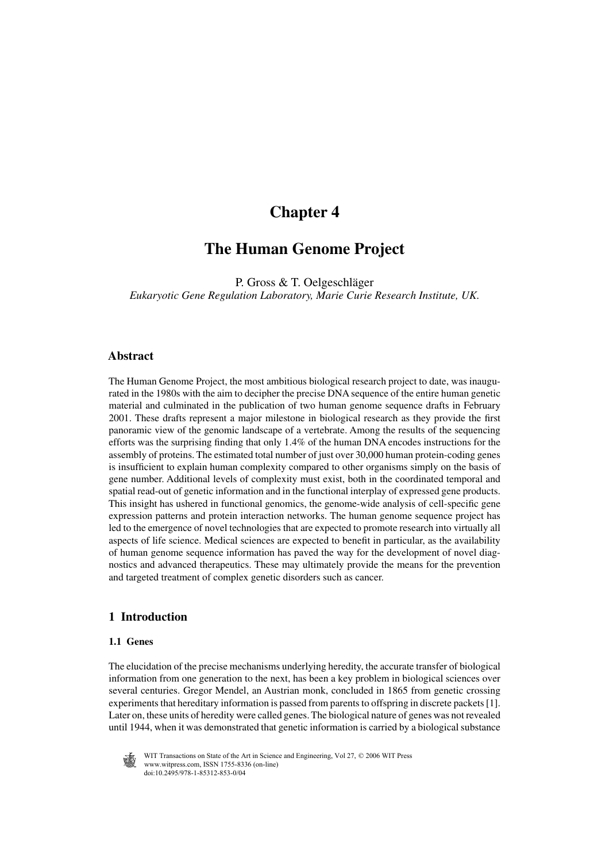# **Chapter 4**

# **The Human Genome Project**

P. Gross & T. Oelgeschläger *Eukaryotic Gene Regulation Laboratory, Marie Curie Research Institute, UK.*

## **Abstract**

The Human Genome Project, the most ambitious biological research project to date, was inaugurated in the 1980s with the aim to decipher the precise DNA sequence of the entire human genetic material and culminated in the publication of two human genome sequence drafts in February 2001. These drafts represent a major milestone in biological research as they provide the first panoramic view of the genomic landscape of a vertebrate. Among the results of the sequencing efforts was the surprising finding that only 1.4% of the human DNA encodes instructions for the assembly of proteins. The estimated total number of just over 30,000 human protein-coding genes is insufficient to explain human complexity compared to other organisms simply on the basis of gene number. Additional levels of complexity must exist, both in the coordinated temporal and spatial read-out of genetic information and in the functional interplay of expressed gene products. This insight has ushered in functional genomics, the genome-wide analysis of cell-specific gene expression patterns and protein interaction networks. The human genome sequence project has led to the emergence of novel technologies that are expected to promote research into virtually all aspects of life science. Medical sciences are expected to benefit in particular, as the availability of human genome sequence information has paved the way for the development of novel diagnostics and advanced therapeutics. These may ultimately provide the means for the prevention and targeted treatment of complex genetic disorders such as cancer.

## **1 Introduction**

## **1.1 Genes**

The elucidation of the precise mechanisms underlying heredity, the accurate transfer of biological information from one generation to the next, has been a key problem in biological sciences over several centuries. Gregor Mendel, an Austrian monk, concluded in 1865 from genetic crossing experiments that hereditary information is passed from parents to offspring in discrete packets [1]. Later on, these units of heredity were called genes. The biological nature of genes was not revealed until 1944, when it was demonstrated that genetic information is carried by a biological substance

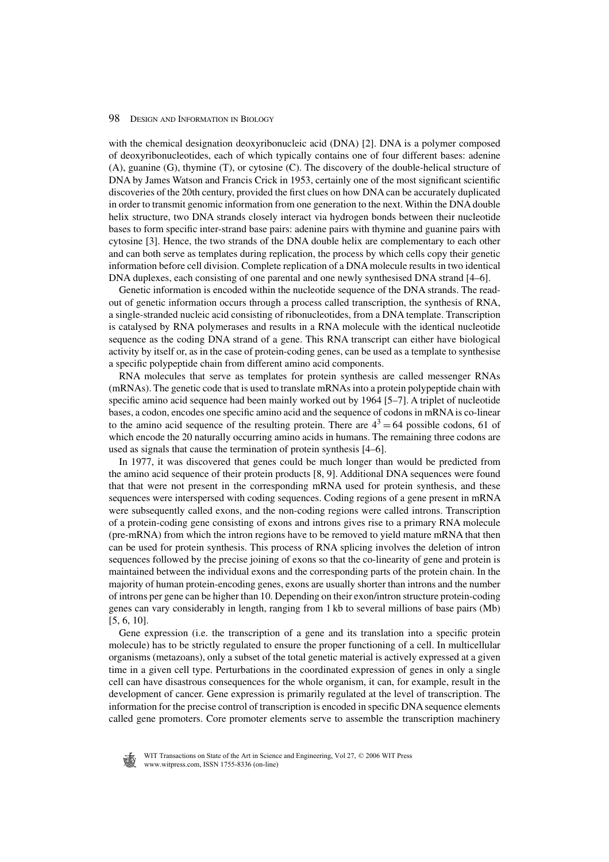with the chemical designation deoxyribonucleic acid (DNA) [2]. DNA is a polymer composed of deoxyribonucleotides, each of which typically contains one of four different bases: adenine (A), guanine (G), thymine (T), or cytosine (C). The discovery of the double-helical structure of DNA by James Watson and Francis Crick in 1953, certainly one of the most significant scientific discoveries of the 20th century, provided the first clues on how DNA can be accurately duplicated in order to transmit genomic information from one generation to the next. Within the DNA double helix structure, two DNA strands closely interact via hydrogen bonds between their nucleotide bases to form specific inter-strand base pairs: adenine pairs with thymine and guanine pairs with cytosine [3]. Hence, the two strands of the DNA double helix are complementary to each other and can both serve as templates during replication, the process by which cells copy their genetic information before cell division. Complete replication of a DNA molecule results in two identical DNA duplexes, each consisting of one parental and one newly synthesised DNA strand [4–6].

Genetic information is encoded within the nucleotide sequence of the DNA strands. The readout of genetic information occurs through a process called transcription, the synthesis of RNA, a single-stranded nucleic acid consisting of ribonucleotides, from a DNA template. Transcription is catalysed by RNA polymerases and results in a RNA molecule with the identical nucleotide sequence as the coding DNA strand of a gene. This RNA transcript can either have biological activity by itself or, as in the case of protein-coding genes, can be used as a template to synthesise a specific polypeptide chain from different amino acid components.

RNA molecules that serve as templates for protein synthesis are called messenger RNAs (mRNAs). The genetic code that is used to translate mRNAs into a protein polypeptide chain with specific amino acid sequence had been mainly worked out by 1964 [5–7]. A triplet of nucleotide bases, a codon, encodes one specific amino acid and the sequence of codons in mRNA is co-linear to the amino acid sequence of the resulting protein. There are  $4^3 = 64$  possible codons, 61 of which encode the 20 naturally occurring amino acids in humans. The remaining three codons are used as signals that cause the termination of protein synthesis [4–6].

In 1977, it was discovered that genes could be much longer than would be predicted from the amino acid sequence of their protein products [8, 9]. Additional DNA sequences were found that that were not present in the corresponding mRNA used for protein synthesis, and these sequences were interspersed with coding sequences. Coding regions of a gene present in mRNA were subsequently called exons, and the non-coding regions were called introns. Transcription of a protein-coding gene consisting of exons and introns gives rise to a primary RNA molecule (pre-mRNA) from which the intron regions have to be removed to yield mature mRNA that then can be used for protein synthesis. This process of RNA splicing involves the deletion of intron sequences followed by the precise joining of exons so that the co-linearity of gene and protein is maintained between the individual exons and the corresponding parts of the protein chain. In the majority of human protein-encoding genes, exons are usually shorter than introns and the number of introns per gene can be higher than 10. Depending on their exon/intron structure protein-coding genes can vary considerably in length, ranging from 1 kb to several millions of base pairs (Mb) [5, 6, 10].

Gene expression (i.e. the transcription of a gene and its translation into a specific protein molecule) has to be strictly regulated to ensure the proper functioning of a cell. In multicellular organisms (metazoans), only a subset of the total genetic material is actively expressed at a given time in a given cell type. Perturbations in the coordinated expression of genes in only a single cell can have disastrous consequences for the whole organism, it can, for example, result in the development of cancer. Gene expression is primarily regulated at the level of transcription. The information for the precise control of transcription is encoded in specific DNA sequence elements called gene promoters. Core promoter elements serve to assemble the transcription machinery

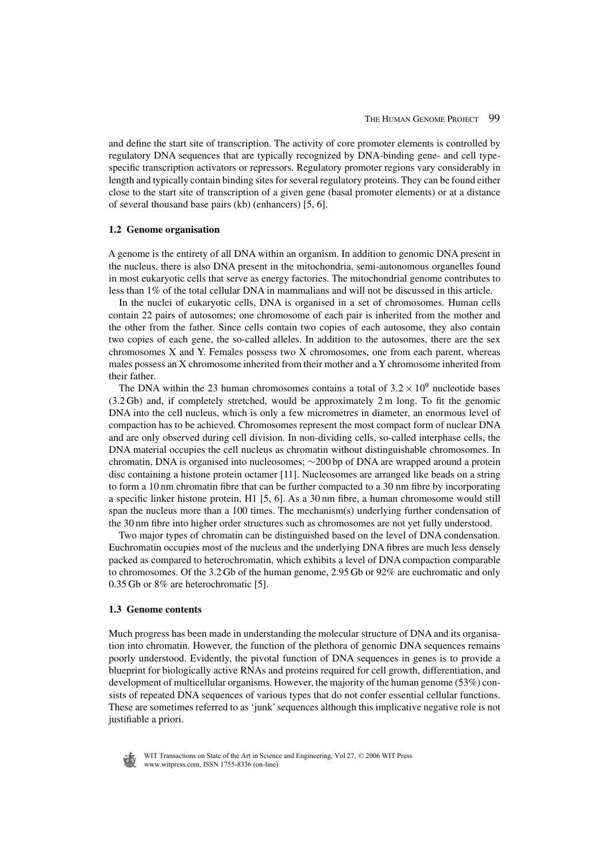and define the start site of transcription. The activity of core promoter elements is controlled by regulatory DNA sequences that are typically recognized by DNA-binding gene- and cell typespecific transcription activators or repressors. Regulatory promoter regions vary considerably in length and typically contain binding sites for several regulatory proteins. They can be found either close to the start site of transcription of a given gene (basal promoter elements) or at a distance of several thousand base pairs (kb) (enhancers) [5, 6].

#### **1.2 Genome organisation**

A genome is the entirety of all DNA within an organism. In addition to genomic DNA present in the nucleus, there is also DNA present in the mitochondria, semi-autonomous organelles found in most eukaryotic cells that serve as energy factories. The mitochondrial genome contributes to less than 1% of the total cellular DNA in mammalians and will not be discussed in this article.

In the nuclei of eukaryotic cells, DNA is organised in a set of chromosomes. Human cells contain 22 pairs of autosomes; one chromosome of each pair is inherited from the mother and the other from the father. Since cells contain two copies of each autosome, they also contain two copies of each gene, the so-called alleles. In addition to the autosomes, there are the sex chromosomes X and Y. Females possess two X chromosomes, one from each parent, whereas males possess an X chromosome inherited from their mother and a Y chromosome inherited from their father.

The DNA within the 23 human chromosomes contains a total of  $3.2 \times 10^9$  nucleotide bases (3.2 Gb) and, if completely stretched, would be approximately 2 m long. To fit the genomic DNA into the cell nucleus, which is only a few micrometres in diameter, an enormous level of compaction has to be achieved. Chromosomes represent the most compact form of nuclear DNA and are only observed during cell division. In non-dividing cells, so-called interphase cells, the DNA material occupies the cell nucleus as chromatin without distinguishable chromosomes. In chromatin, DNA is organised into nucleosomes; ∼200 bp of DNA are wrapped around a protein disc containing a histone protein octamer [11]. Nucleosomes are arranged like beads on a string to form a 10 nm chromatin fibre that can be further compacted to a 30 nm fibre by incorporating a specific linker histone protein, H1 [5, 6]. As a 30 nm fibre, a human chromosome would still span the nucleus more than a 100 times. The mechanism(s) underlying further condensation of the 30 nm fibre into higher order structures such as chromosomes are not yet fully understood.

Two major types of chromatin can be distinguished based on the level of DNA condensation. Euchromatin occupies most of the nucleus and the underlying DNA fibres are much less densely packed as compared to heterochromatin, which exhibits a level of DNA compaction comparable to chromosomes. Of the 3.2 Gb of the human genome, 2.95 Gb or 92% are euchromatic and only 0.35 Gb or 8% are heterochromatic [5].

## **1.3 Genome contents**

Much progress has been made in understanding the molecular structure of DNA and its organisation into chromatin. However, the function of the plethora of genomic DNA sequences remains poorly understood. Evidently, the pivotal function of DNA sequences in genes is to provide a blueprint for biologically active RNAs and proteins required for cell growth, differentiation, and development of multicellular organisms. However, the majority of the human genome (53%) consists of repeated DNA sequences of various types that do not confer essential cellular functions. These are sometimes referred to as 'junk' sequences although this implicative negative role is not justifiable a priori.

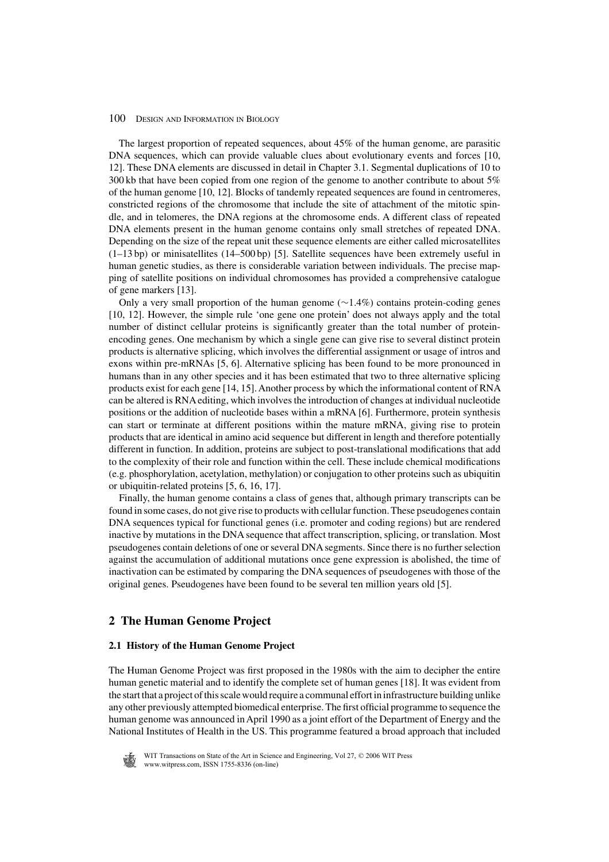The largest proportion of repeated sequences, about 45% of the human genome, are parasitic DNA sequences, which can provide valuable clues about evolutionary events and forces [10, 12]. These DNA elements are discussed in detail in Chapter 3.1. Segmental duplications of 10 to 300 kb that have been copied from one region of the genome to another contribute to about 5% of the human genome [10, 12]. Blocks of tandemly repeated sequences are found in centromeres, constricted regions of the chromosome that include the site of attachment of the mitotic spindle, and in telomeres, the DNA regions at the chromosome ends. A different class of repeated DNA elements present in the human genome contains only small stretches of repeated DNA. Depending on the size of the repeat unit these sequence elements are either called microsatellites (1–13 bp) or minisatellites (14–500 bp) [5]. Satellite sequences have been extremely useful in human genetic studies, as there is considerable variation between individuals. The precise mapping of satellite positions on individual chromosomes has provided a comprehensive catalogue of gene markers [13].

Only a very small proportion of the human genome (∼1.4%) contains protein-coding genes [10, 12]. However, the simple rule 'one gene one protein' does not always apply and the total number of distinct cellular proteins is significantly greater than the total number of proteinencoding genes. One mechanism by which a single gene can give rise to several distinct protein products is alternative splicing, which involves the differential assignment or usage of intros and exons within pre-mRNAs [5, 6]. Alternative splicing has been found to be more pronounced in humans than in any other species and it has been estimated that two to three alternative splicing products exist for each gene [14, 15]. Another process by which the informational content of RNA can be altered is RNA editing, which involves the introduction of changes at individual nucleotide positions or the addition of nucleotide bases within a mRNA [6]. Furthermore, protein synthesis can start or terminate at different positions within the mature mRNA, giving rise to protein products that are identical in amino acid sequence but different in length and therefore potentially different in function. In addition, proteins are subject to post-translational modifications that add to the complexity of their role and function within the cell. These include chemical modifications (e.g. phosphorylation, acetylation, methylation) or conjugation to other proteins such as ubiquitin or ubiquitin-related proteins [5, 6, 16, 17].

Finally, the human genome contains a class of genes that, although primary transcripts can be found in some cases, do not give rise to products with cellular function. These pseudogenes contain DNA sequences typical for functional genes (i.e. promoter and coding regions) but are rendered inactive by mutations in the DNA sequence that affect transcription, splicing, or translation. Most pseudogenes contain deletions of one or several DNA segments. Since there is no further selection against the accumulation of additional mutations once gene expression is abolished, the time of inactivation can be estimated by comparing the DNA sequences of pseudogenes with those of the original genes. Pseudogenes have been found to be several ten million years old [5].

# **2 The Human Genome Project**

## **2.1 History of the Human Genome Project**

The Human Genome Project was first proposed in the 1980s with the aim to decipher the entire human genetic material and to identify the complete set of human genes [18]. It was evident from the start that a project of this scale would require a communal effort in infrastructure building unlike any other previously attempted biomedical enterprise. The first official programme to sequence the human genome was announced in April 1990 as a joint effort of the Department of Energy and the National Institutes of Health in the US. This programme featured a broad approach that included

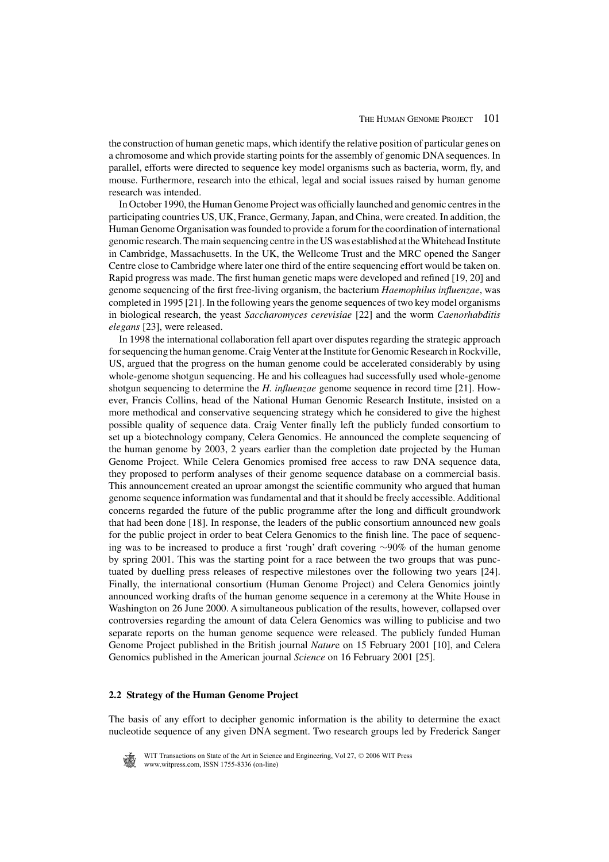the construction of human genetic maps, which identify the relative position of particular genes on a chromosome and which provide starting points for the assembly of genomic DNA sequences. In parallel, efforts were directed to sequence key model organisms such as bacteria, worm, fly, and mouse. Furthermore, research into the ethical, legal and social issues raised by human genome research was intended.

In October 1990, the Human Genome Project was officially launched and genomic centres in the participating countries US, UK, France, Germany, Japan, and China, were created. In addition, the Human Genome Organisation was founded to provide a forum for the coordination of international genomic research. The main sequencing centre in the US was established at the Whitehead Institute in Cambridge, Massachusetts. In the UK, the Wellcome Trust and the MRC opened the Sanger Centre close to Cambridge where later one third of the entire sequencing effort would be taken on. Rapid progress was made. The first human genetic maps were developed and refined [19, 20] and genome sequencing of the first free-living organism, the bacterium *Haemophilus influenzae*, was completed in 1995 [21]. In the following years the genome sequences of two key model organisms in biological research, the yeast *Saccharomyces cerevisiae* [22] and the worm *Caenorhabditis elegans* [23], were released.

In 1998 the international collaboration fell apart over disputes regarding the strategic approach for sequencing the human genome. Craig Venter at the Institute for Genomic Research in Rockville, US, argued that the progress on the human genome could be accelerated considerably by using whole-genome shotgun sequencing. He and his colleagues had successfully used whole-genome shotgun sequencing to determine the *H. influenzae* genome sequence in record time [21]. However, Francis Collins, head of the National Human Genomic Research Institute, insisted on a more methodical and conservative sequencing strategy which he considered to give the highest possible quality of sequence data. Craig Venter finally left the publicly funded consortium to set up a biotechnology company, Celera Genomics. He announced the complete sequencing of the human genome by 2003, 2 years earlier than the completion date projected by the Human Genome Project. While Celera Genomics promised free access to raw DNA sequence data, they proposed to perform analyses of their genome sequence database on a commercial basis. This announcement created an uproar amongst the scientific community who argued that human genome sequence information was fundamental and that it should be freely accessible. Additional concerns regarded the future of the public programme after the long and difficult groundwork that had been done [18]. In response, the leaders of the public consortium announced new goals for the public project in order to beat Celera Genomics to the finish line. The pace of sequencing was to be increased to produce a first 'rough' draft covering ∼90% of the human genome by spring 2001. This was the starting point for a race between the two groups that was punctuated by duelling press releases of respective milestones over the following two years [24]. Finally, the international consortium (Human Genome Project) and Celera Genomics jointly announced working drafts of the human genome sequence in a ceremony at the White House in Washington on 26 June 2000. A simultaneous publication of the results, however, collapsed over controversies regarding the amount of data Celera Genomics was willing to publicise and two separate reports on the human genome sequence were released. The publicly funded Human Genome Project published in the British journal *Natur*e on 15 February 2001 [10], and Celera Genomics published in the American journal *Science* on 16 February 2001 [25].

## **2.2 Strategy of the Human Genome Project**

The basis of any effort to decipher genomic information is the ability to determine the exact nucleotide sequence of any given DNA segment. Two research groups led by Frederick Sanger

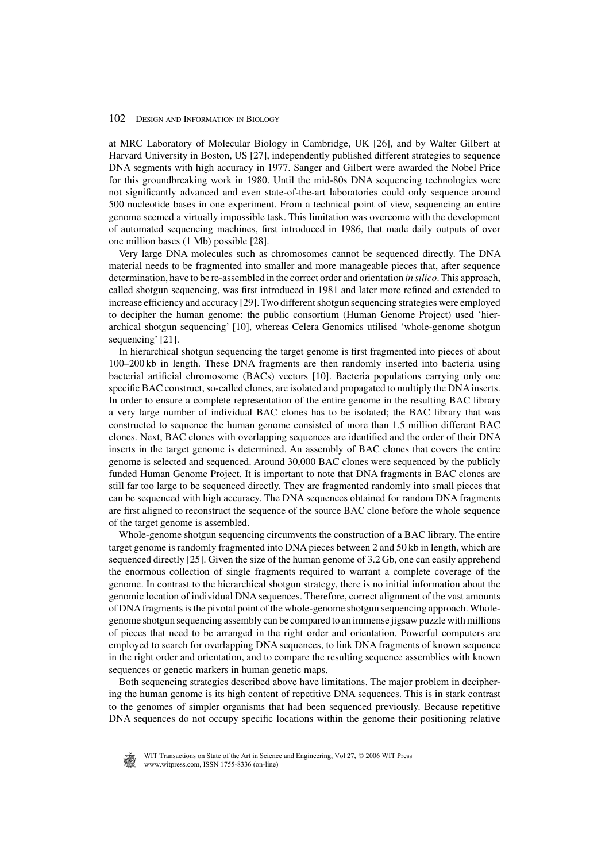at MRC Laboratory of Molecular Biology in Cambridge, UK [26], and by Walter Gilbert at Harvard University in Boston, US [27], independently published different strategies to sequence DNA segments with high accuracy in 1977. Sanger and Gilbert were awarded the Nobel Price for this groundbreaking work in 1980. Until the mid-80s DNA sequencing technologies were not significantly advanced and even state-of-the-art laboratories could only sequence around 500 nucleotide bases in one experiment. From a technical point of view, sequencing an entire genome seemed a virtually impossible task. This limitation was overcome with the development of automated sequencing machines, first introduced in 1986, that made daily outputs of over one million bases (1 Mb) possible [28].

Very large DNA molecules such as chromosomes cannot be sequenced directly. The DNA material needs to be fragmented into smaller and more manageable pieces that, after sequence determination, have to be re-assembled in the correct order and orientation *in silico*. This approach, called shotgun sequencing, was first introduced in 1981 and later more refined and extended to increase efficiency and accuracy [29]. Two different shotgun sequencing strategies were employed to decipher the human genome: the public consortium (Human Genome Project) used 'hierarchical shotgun sequencing' [10], whereas Celera Genomics utilised 'whole-genome shotgun sequencing' [21].

In hierarchical shotgun sequencing the target genome is first fragmented into pieces of about 100–200 kb in length. These DNA fragments are then randomly inserted into bacteria using bacterial artificial chromosome (BACs) vectors [10]. Bacteria populations carrying only one specific BAC construct, so-called clones, are isolated and propagated to multiply the DNA inserts. In order to ensure a complete representation of the entire genome in the resulting BAC library a very large number of individual BAC clones has to be isolated; the BAC library that was constructed to sequence the human genome consisted of more than 1.5 million different BAC clones. Next, BAC clones with overlapping sequences are identified and the order of their DNA inserts in the target genome is determined. An assembly of BAC clones that covers the entire genome is selected and sequenced. Around 30,000 BAC clones were sequenced by the publicly funded Human Genome Project. It is important to note that DNA fragments in BAC clones are still far too large to be sequenced directly. They are fragmented randomly into small pieces that can be sequenced with high accuracy. The DNA sequences obtained for random DNA fragments are first aligned to reconstruct the sequence of the source BAC clone before the whole sequence of the target genome is assembled.

Whole-genome shotgun sequencing circumvents the construction of a BAC library. The entire target genome is randomly fragmented into DNA pieces between 2 and 50 kb in length, which are sequenced directly [25]. Given the size of the human genome of 3.2 Gb, one can easily apprehend the enormous collection of single fragments required to warrant a complete coverage of the genome. In contrast to the hierarchical shotgun strategy, there is no initial information about the genomic location of individual DNA sequences. Therefore, correct alignment of the vast amounts of DNAfragments is the pivotal point of the whole-genome shotgun sequencing approach. Wholegenome shotgun sequencing assembly can be compared to an immense jigsaw puzzle with millions of pieces that need to be arranged in the right order and orientation. Powerful computers are employed to search for overlapping DNA sequences, to link DNA fragments of known sequence in the right order and orientation, and to compare the resulting sequence assemblies with known sequences or genetic markers in human genetic maps.

Both sequencing strategies described above have limitations. The major problem in deciphering the human genome is its high content of repetitive DNA sequences. This is in stark contrast to the genomes of simpler organisms that had been sequenced previously. Because repetitive DNA sequences do not occupy specific locations within the genome their positioning relative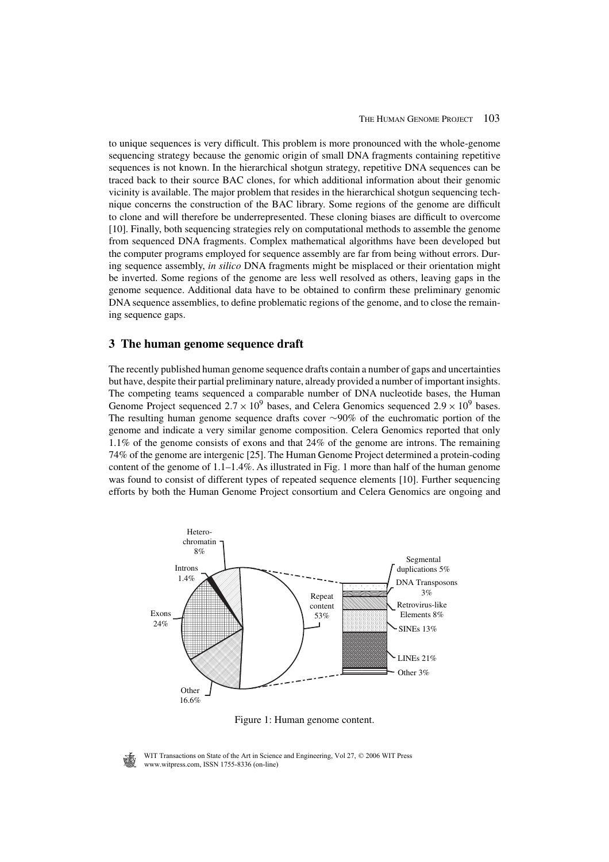to unique sequences is very difficult. This problem is more pronounced with the whole-genome sequencing strategy because the genomic origin of small DNA fragments containing repetitive sequences is not known. In the hierarchical shotgun strategy, repetitive DNA sequences can be traced back to their source BAC clones, for which additional information about their genomic vicinity is available. The major problem that resides in the hierarchical shotgun sequencing technique concerns the construction of the BAC library. Some regions of the genome are difficult to clone and will therefore be underrepresented. These cloning biases are difficult to overcome [10]. Finally, both sequencing strategies rely on computational methods to assemble the genome from sequenced DNA fragments. Complex mathematical algorithms have been developed but the computer programs employed for sequence assembly are far from being without errors. During sequence assembly, *in silico* DNA fragments might be misplaced or their orientation might be inverted. Some regions of the genome are less well resolved as others, leaving gaps in the genome sequence. Additional data have to be obtained to confirm these preliminary genomic DNA sequence assemblies, to define problematic regions of the genome, and to close the remaining sequence gaps.

## **3 The human genome sequence draft**

The recently published human genome sequence drafts contain a number of gaps and uncertainties but have, despite their partial preliminary nature, already provided a number of important insights. The competing teams sequenced a comparable number of DNA nucleotide bases, the Human Genome Project sequenced  $2.7 \times 10^9$  bases, and Celera Genomics sequenced  $2.9 \times 10^9$  bases. The resulting human genome sequence drafts cover ∼90% of the euchromatic portion of the genome and indicate a very similar genome composition. Celera Genomics reported that only 1.1% of the genome consists of exons and that 24% of the genome are introns. The remaining 74% of the genome are intergenic [25]. The Human Genome Project determined a protein-coding content of the genome of 1.1–1.4%. As illustrated in Fig. 1 more than half of the human genome was found to consist of different types of repeated sequence elements [10]. Further sequencing efforts by both the Human Genome Project consortium and Celera Genomics are ongoing and



Figure 1: Human genome content.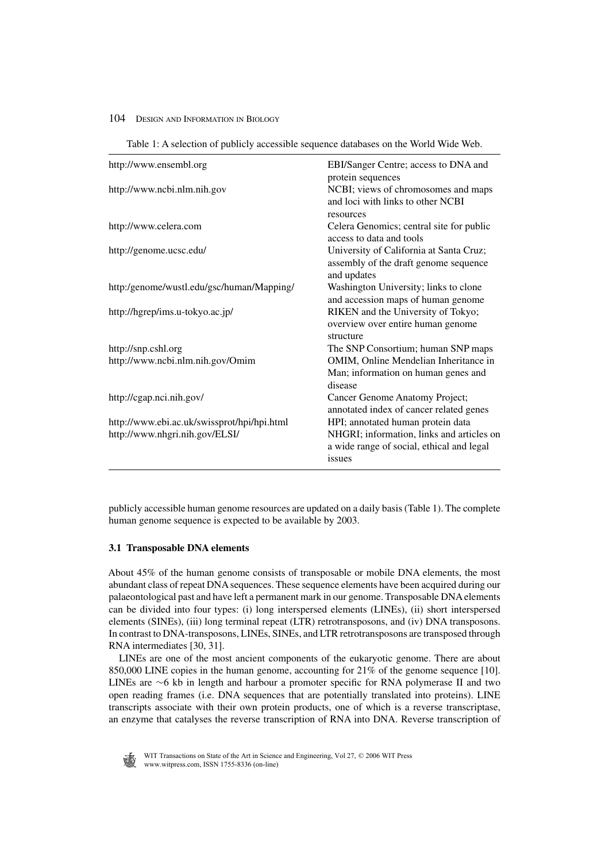| http://www.ensembl.org                      | EBI/Sanger Centre; access to DNA and<br>protein sequences                                        |
|---------------------------------------------|--------------------------------------------------------------------------------------------------|
| http://www.ncbi.nlm.nih.gov                 | NCBI; views of chromosomes and maps<br>and loci with links to other NCBI<br>resources            |
| http://www.celera.com                       | Celera Genomics; central site for public<br>access to data and tools                             |
| http://genome.ucsc.edu/                     | University of California at Santa Cruz;<br>assembly of the draft genome sequence<br>and updates  |
| http:/genome/wustl.edu/gsc/human/Mapping/   | Washington University; links to clone<br>and accession maps of human genome                      |
| http://hgrep/ims.u-tokyo.ac.jp/             | RIKEN and the University of Tokyo;<br>overview over entire human genome<br>structure             |
| http://snp.cshl.org                         | The SNP Consortium; human SNP maps                                                               |
| http://www.ncbi.nlm.nih.gov/Omim            | OMIM, Online Mendelian Inheritance in<br>Man; information on human genes and<br>disease          |
| http://cgap.nci.nih.gov/                    | Cancer Genome Anatomy Project;<br>annotated index of cancer related genes                        |
| http://www.ebi.ac.uk/swissprot/hpi/hpi.html | HPI; annotated human protein data                                                                |
| http://www.nhgri.nih.gov/ELSI/              | NHGRI; information, links and articles on<br>a wide range of social, ethical and legal<br>issues |

publicly accessible human genome resources are updated on a daily basis (Table 1). The complete human genome sequence is expected to be available by 2003.

## **3.1 Transposable DNA elements**

About 45% of the human genome consists of transposable or mobile DNA elements, the most abundant class of repeat DNA sequences. These sequence elements have been acquired during our palaeontological past and have left a permanent mark in our genome. Transposable DNAelements can be divided into four types: (i) long interspersed elements (LINEs), (ii) short interspersed elements (SINEs), (iii) long terminal repeat (LTR) retrotransposons, and (iv) DNA transposons. In contrast to DNA-transposons, LINEs, SINEs, and LTR retrotransposons are transposed through RNA intermediates [30, 31].

LINEs are one of the most ancient components of the eukaryotic genome. There are about 850,000 LINE copies in the human genome, accounting for 21% of the genome sequence [10]. LINEs are ∼6 kb in length and harbour a promoter specific for RNA polymerase II and two open reading frames (i.e. DNA sequences that are potentially translated into proteins). LINE transcripts associate with their own protein products, one of which is a reverse transcriptase, an enzyme that catalyses the reverse transcription of RNA into DNA. Reverse transcription of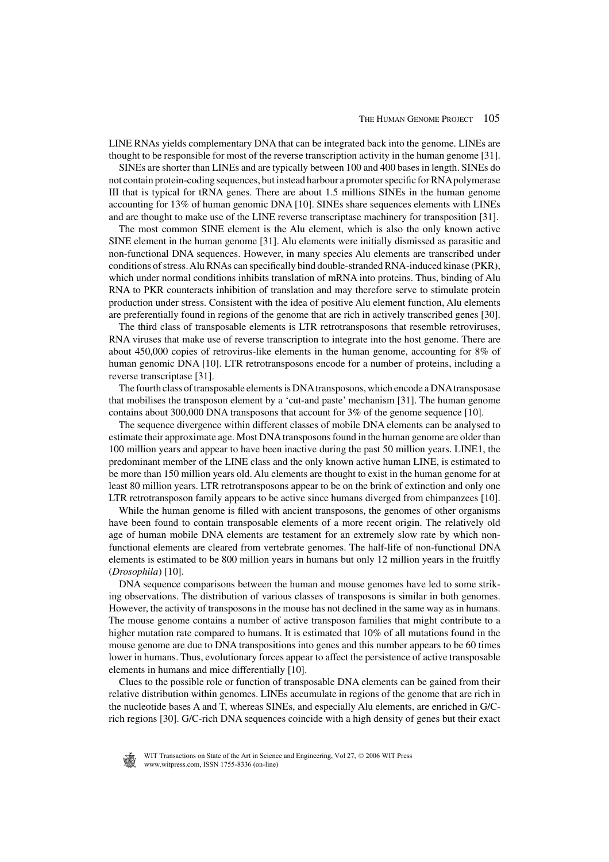LINE RNAs yields complementary DNA that can be integrated back into the genome. LINEs are thought to be responsible for most of the reverse transcription activity in the human genome [31].

SINEs are shorter than LINEs and are typically between 100 and 400 bases in length. SINEs do not contain protein-coding sequences, but instead harbour a promoter specific for RNApolymerase III that is typical for tRNA genes. There are about 1.5 millions SINEs in the human genome accounting for 13% of human genomic DNA [10]. SINEs share sequences elements with LINEs and are thought to make use of the LINE reverse transcriptase machinery for transposition [31].

The most common SINE element is the Alu element, which is also the only known active SINE element in the human genome [31]. Alu elements were initially dismissed as parasitic and non-functional DNA sequences. However, in many species Alu elements are transcribed under conditions of stress.Alu RNAs can specifically bind double-stranded RNA-induced kinase (PKR), which under normal conditions inhibits translation of mRNA into proteins. Thus, binding of Alu RNA to PKR counteracts inhibition of translation and may therefore serve to stimulate protein production under stress. Consistent with the idea of positive Alu element function, Alu elements are preferentially found in regions of the genome that are rich in actively transcribed genes [30].

The third class of transposable elements is LTR retrotransposons that resemble retroviruses, RNA viruses that make use of reverse transcription to integrate into the host genome. There are about 450,000 copies of retrovirus-like elements in the human genome, accounting for 8% of human genomic DNA [10]. LTR retrotransposons encode for a number of proteins, including a reverse transcriptase [31].

The fourth class of transposable elements is DNAtransposons, which encode a DNAtransposase that mobilises the transposon element by a 'cut-and paste' mechanism [31]. The human genome contains about 300,000 DNA transposons that account for 3% of the genome sequence [10].

The sequence divergence within different classes of mobile DNA elements can be analysed to estimate their approximate age. Most DNA transposons found in the human genome are older than 100 million years and appear to have been inactive during the past 50 million years. LINE1, the predominant member of the LINE class and the only known active human LINE, is estimated to be more than 150 million years old. Alu elements are thought to exist in the human genome for at least 80 million years. LTR retrotransposons appear to be on the brink of extinction and only one LTR retrotransposon family appears to be active since humans diverged from chimpanzees [10].

While the human genome is filled with ancient transposons, the genomes of other organisms have been found to contain transposable elements of a more recent origin. The relatively old age of human mobile DNA elements are testament for an extremely slow rate by which nonfunctional elements are cleared from vertebrate genomes. The half-life of non-functional DNA elements is estimated to be 800 million years in humans but only 12 million years in the fruitfly (*Drosophila*) [10].

DNA sequence comparisons between the human and mouse genomes have led to some striking observations. The distribution of various classes of transposons is similar in both genomes. However, the activity of transposons in the mouse has not declined in the same way as in humans. The mouse genome contains a number of active transposon families that might contribute to a higher mutation rate compared to humans. It is estimated that 10% of all mutations found in the mouse genome are due to DNA transpositions into genes and this number appears to be 60 times lower in humans. Thus, evolutionary forces appear to affect the persistence of active transposable elements in humans and mice differentially [10].

Clues to the possible role or function of transposable DNA elements can be gained from their relative distribution within genomes. LINEs accumulate in regions of the genome that are rich in the nucleotide bases A and T, whereas SINEs, and especially Alu elements, are enriched in G/Crich regions [30]. G/C-rich DNA sequences coincide with a high density of genes but their exact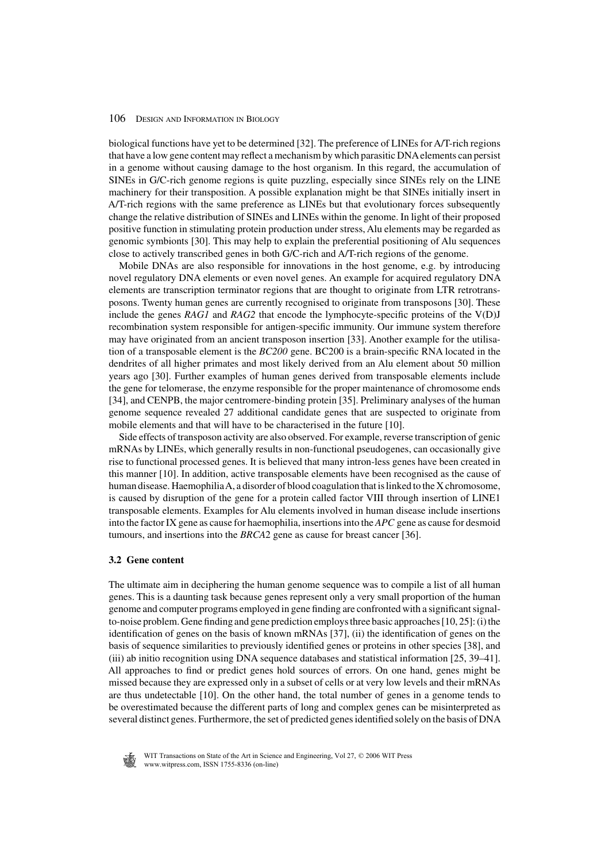biological functions have yet to be determined [32]. The preference of LINEs for A/T-rich regions that have a low gene content may reflect a mechanism by which parasitic DNAelements can persist in a genome without causing damage to the host organism. In this regard, the accumulation of SINEs in G/C-rich genome regions is quite puzzling, especially since SINEs rely on the LINE machinery for their transposition. A possible explanation might be that SINEs initially insert in A/T-rich regions with the same preference as LINEs but that evolutionary forces subsequently change the relative distribution of SINEs and LINEs within the genome. In light of their proposed positive function in stimulating protein production under stress, Alu elements may be regarded as genomic symbionts [30]. This may help to explain the preferential positioning of Alu sequences close to actively transcribed genes in both G/C-rich and A/T-rich regions of the genome.

Mobile DNAs are also responsible for innovations in the host genome, e.g. by introducing novel regulatory DNA elements or even novel genes. An example for acquired regulatory DNA elements are transcription terminator regions that are thought to originate from LTR retrotransposons. Twenty human genes are currently recognised to originate from transposons [30]. These include the genes *RAG1* and *RAG2* that encode the lymphocyte-specific proteins of the V(D)J recombination system responsible for antigen-specific immunity. Our immune system therefore may have originated from an ancient transposon insertion [33]. Another example for the utilisation of a transposable element is the *BC200* gene. BC200 is a brain-specific RNA located in the dendrites of all higher primates and most likely derived from an Alu element about 50 million years ago [30]. Further examples of human genes derived from transposable elements include the gene for telomerase, the enzyme responsible for the proper maintenance of chromosome ends [34], and CENPB, the major centromere-binding protein [35]. Preliminary analyses of the human genome sequence revealed 27 additional candidate genes that are suspected to originate from mobile elements and that will have to be characterised in the future [10].

Side effects of transposon activity are also observed. For example, reverse transcription of genic mRNAs by LINEs, which generally results in non-functional pseudogenes, can occasionally give rise to functional processed genes. It is believed that many intron-less genes have been created in this manner [10]. In addition, active transposable elements have been recognised as the cause of human disease. HaemophiliaA, a disorder of blood coagulation that is linked to the X chromosome, is caused by disruption of the gene for a protein called factor VIII through insertion of LINE1 transposable elements. Examples for Alu elements involved in human disease include insertions into the factor IX gene as cause for haemophilia, insertions into the*APC* gene as cause for desmoid tumours, and insertions into the *BRCA*2 gene as cause for breast cancer [36].

## **3.2 Gene content**

The ultimate aim in deciphering the human genome sequence was to compile a list of all human genes. This is a daunting task because genes represent only a very small proportion of the human genome and computer programs employed in gene finding are confronted with a significant signalto-noise problem. Gene finding and gene prediction employs three basic approaches [10, 25]: (i) the identification of genes on the basis of known mRNAs [37], (ii) the identification of genes on the basis of sequence similarities to previously identified genes or proteins in other species [38], and (iii) ab initio recognition using DNA sequence databases and statistical information [25, 39–41]. All approaches to find or predict genes hold sources of errors. On one hand, genes might be missed because they are expressed only in a subset of cells or at very low levels and their mRNAs are thus undetectable [10]. On the other hand, the total number of genes in a genome tends to be overestimated because the different parts of long and complex genes can be misinterpreted as several distinct genes. Furthermore, the set of predicted genes identified solely on the basis of DNA

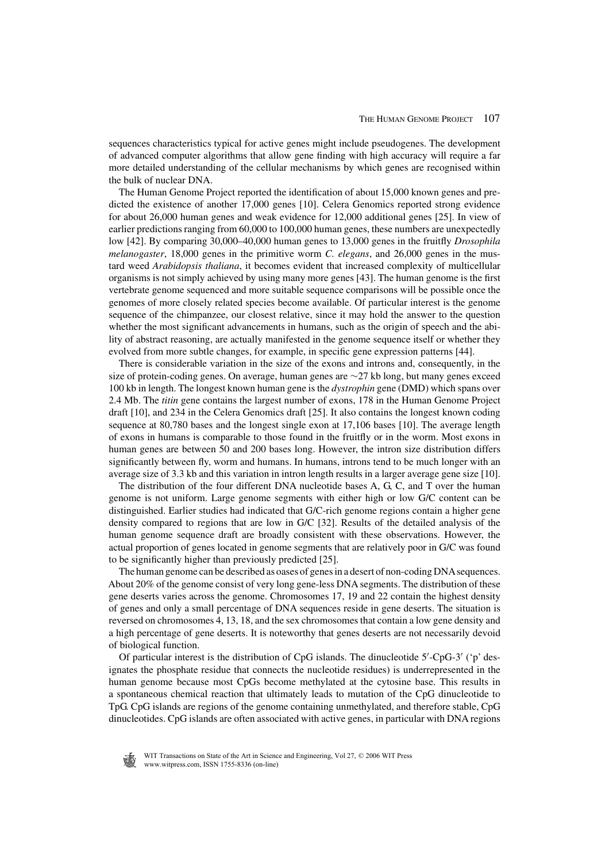sequences characteristics typical for active genes might include pseudogenes. The development of advanced computer algorithms that allow gene finding with high accuracy will require a far more detailed understanding of the cellular mechanisms by which genes are recognised within the bulk of nuclear DNA.

The Human Genome Project reported the identification of about 15,000 known genes and predicted the existence of another 17,000 genes [10]. Celera Genomics reported strong evidence for about 26,000 human genes and weak evidence for 12,000 additional genes [25]. In view of earlier predictions ranging from 60,000 to 100,000 human genes, these numbers are unexpectedly low [42]. By comparing 30,000–40,000 human genes to 13,000 genes in the fruitfly *Drosophila melanogaster*, 18,000 genes in the primitive worm *C. elegans*, and 26,000 genes in the mustard weed *Arabidopsis thaliana*, it becomes evident that increased complexity of multicellular organisms is not simply achieved by using many more genes [43]. The human genome is the first vertebrate genome sequenced and more suitable sequence comparisons will be possible once the genomes of more closely related species become available. Of particular interest is the genome sequence of the chimpanzee, our closest relative, since it may hold the answer to the question whether the most significant advancements in humans, such as the origin of speech and the ability of abstract reasoning, are actually manifested in the genome sequence itself or whether they evolved from more subtle changes, for example, in specific gene expression patterns [44].

There is considerable variation in the size of the exons and introns and, consequently, in the size of protein-coding genes. On average, human genes are ∼27 kb long, but many genes exceed 100 kb in length. The longest known human gene is the *dystrophin* gene (DMD) which spans over 2.4 Mb. The *titin* gene contains the largest number of exons, 178 in the Human Genome Project draft [10], and 234 in the Celera Genomics draft [25]. It also contains the longest known coding sequence at 80,780 bases and the longest single exon at 17,106 bases [10]. The average length of exons in humans is comparable to those found in the fruitfly or in the worm. Most exons in human genes are between 50 and 200 bases long. However, the intron size distribution differs significantly between fly, worm and humans. In humans, introns tend to be much longer with an average size of 3.3 kb and this variation in intron length results in a larger average gene size [10].

The distribution of the four different DNA nucleotide bases A, G, C, and T over the human genome is not uniform. Large genome segments with either high or low G/C content can be distinguished. Earlier studies had indicated that G/C-rich genome regions contain a higher gene density compared to regions that are low in G/C [32]. Results of the detailed analysis of the human genome sequence draft are broadly consistent with these observations. However, the actual proportion of genes located in genome segments that are relatively poor in G/C was found to be significantly higher than previously predicted [25].

The human genome can be described as oases of genes in a desert of non-coding DNAsequences. About 20% of the genome consist of very long gene-less DNA segments. The distribution of these gene deserts varies across the genome. Chromosomes 17, 19 and 22 contain the highest density of genes and only a small percentage of DNA sequences reside in gene deserts. The situation is reversed on chromosomes 4, 13, 18, and the sex chromosomes that contain a low gene density and a high percentage of gene deserts. It is noteworthy that genes deserts are not necessarily devoid of biological function.

Of particular interest is the distribution of CpG islands. The dinucleotide 5'-CpG-3' ('p' designates the phosphate residue that connects the nucleotide residues) is underrepresented in the human genome because most CpGs become methylated at the cytosine base. This results in a spontaneous chemical reaction that ultimately leads to mutation of the CpG dinucleotide to TpG. CpG islands are regions of the genome containing unmethylated, and therefore stable, CpG dinucleotides. CpG islands are often associated with active genes, in particular with DNA regions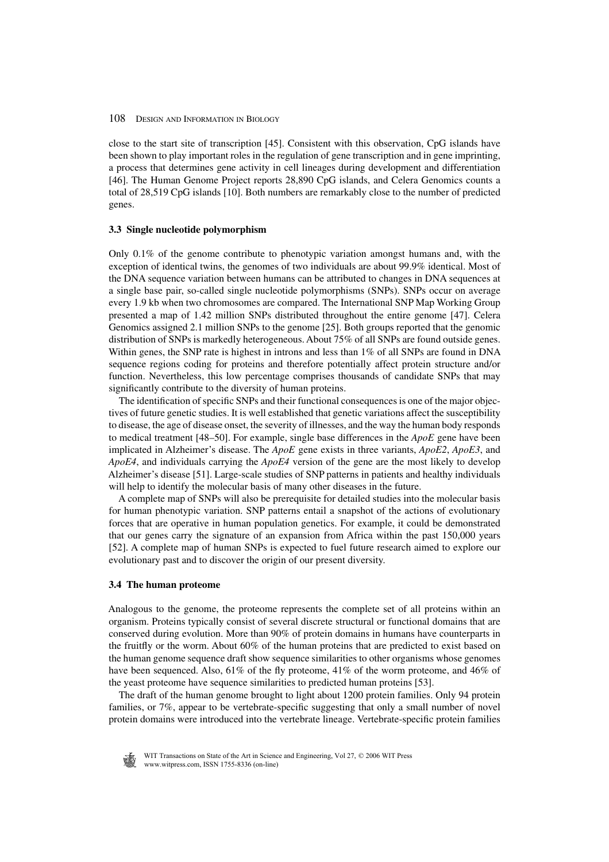close to the start site of transcription [45]. Consistent with this observation, CpG islands have been shown to play important roles in the regulation of gene transcription and in gene imprinting, a process that determines gene activity in cell lineages during development and differentiation [46]. The Human Genome Project reports 28,890 CpG islands, and Celera Genomics counts a total of 28,519 CpG islands [10]. Both numbers are remarkably close to the number of predicted genes.

## **3.3 Single nucleotide polymorphism**

Only 0.1% of the genome contribute to phenotypic variation amongst humans and, with the exception of identical twins, the genomes of two individuals are about 99.9% identical. Most of the DNA sequence variation between humans can be attributed to changes in DNA sequences at a single base pair, so-called single nucleotide polymorphisms (SNPs). SNPs occur on average every 1.9 kb when two chromosomes are compared. The International SNP Map Working Group presented a map of 1.42 million SNPs distributed throughout the entire genome [47]. Celera Genomics assigned 2.1 million SNPs to the genome [25]. Both groups reported that the genomic distribution of SNPs is markedly heterogeneous. About 75% of all SNPs are found outside genes. Within genes, the SNP rate is highest in introns and less than 1% of all SNPs are found in DNA sequence regions coding for proteins and therefore potentially affect protein structure and/or function. Nevertheless, this low percentage comprises thousands of candidate SNPs that may significantly contribute to the diversity of human proteins.

The identification of specific SNPs and their functional consequences is one of the major objectives of future genetic studies. It is well established that genetic variations affect the susceptibility to disease, the age of disease onset, the severity of illnesses, and the way the human body responds to medical treatment [48–50]. For example, single base differences in the *ApoE* gene have been implicated in Alzheimer's disease. The *ApoE* gene exists in three variants, *ApoE2*, *ApoE3*, and *ApoE4*, and individuals carrying the *ApoE4* version of the gene are the most likely to develop Alzheimer's disease [51]. Large-scale studies of SNP patterns in patients and healthy individuals will help to identify the molecular basis of many other diseases in the future.

A complete map of SNPs will also be prerequisite for detailed studies into the molecular basis for human phenotypic variation. SNP patterns entail a snapshot of the actions of evolutionary forces that are operative in human population genetics. For example, it could be demonstrated that our genes carry the signature of an expansion from Africa within the past 150,000 years [52]. A complete map of human SNPs is expected to fuel future research aimed to explore our evolutionary past and to discover the origin of our present diversity.

## **3.4 The human proteome**

Analogous to the genome, the proteome represents the complete set of all proteins within an organism. Proteins typically consist of several discrete structural or functional domains that are conserved during evolution. More than 90% of protein domains in humans have counterparts in the fruitfly or the worm. About 60% of the human proteins that are predicted to exist based on the human genome sequence draft show sequence similarities to other organisms whose genomes have been sequenced. Also, 61% of the fly proteome, 41% of the worm proteome, and 46% of the yeast proteome have sequence similarities to predicted human proteins [53].

The draft of the human genome brought to light about 1200 protein families. Only 94 protein families, or 7%, appear to be vertebrate-specific suggesting that only a small number of novel protein domains were introduced into the vertebrate lineage. Vertebrate-specific protein families

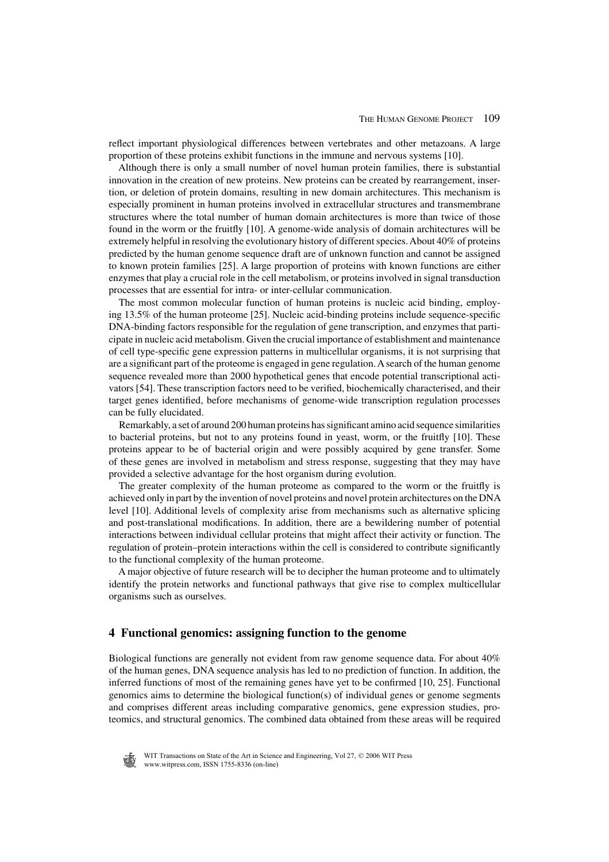reflect important physiological differences between vertebrates and other metazoans. A large proportion of these proteins exhibit functions in the immune and nervous systems [10].

Although there is only a small number of novel human protein families, there is substantial innovation in the creation of new proteins. New proteins can be created by rearrangement, insertion, or deletion of protein domains, resulting in new domain architectures. This mechanism is especially prominent in human proteins involved in extracellular structures and transmembrane structures where the total number of human domain architectures is more than twice of those found in the worm or the fruitfly [10]. A genome-wide analysis of domain architectures will be extremely helpful in resolving the evolutionary history of different species. About 40% of proteins predicted by the human genome sequence draft are of unknown function and cannot be assigned to known protein families [25]. A large proportion of proteins with known functions are either enzymes that play a crucial role in the cell metabolism, or proteins involved in signal transduction processes that are essential for intra- or inter-cellular communication.

The most common molecular function of human proteins is nucleic acid binding, employing 13.5% of the human proteome [25]. Nucleic acid-binding proteins include sequence-specific DNA-binding factors responsible for the regulation of gene transcription, and enzymes that participate in nucleic acid metabolism. Given the crucial importance of establishment and maintenance of cell type-specific gene expression patterns in multicellular organisms, it is not surprising that are a significant part of the proteome is engaged in gene regulation. A search of the human genome sequence revealed more than 2000 hypothetical genes that encode potential transcriptional activators [54]. These transcription factors need to be verified, biochemically characterised, and their target genes identified, before mechanisms of genome-wide transcription regulation processes can be fully elucidated.

Remarkably, a set of around 200 human proteins has significant amino acid sequence similarities to bacterial proteins, but not to any proteins found in yeast, worm, or the fruitfly [10]. These proteins appear to be of bacterial origin and were possibly acquired by gene transfer. Some of these genes are involved in metabolism and stress response, suggesting that they may have provided a selective advantage for the host organism during evolution.

The greater complexity of the human proteome as compared to the worm or the fruitfly is achieved only in part by the invention of novel proteins and novel protein architectures on the DNA level [10]. Additional levels of complexity arise from mechanisms such as alternative splicing and post-translational modifications. In addition, there are a bewildering number of potential interactions between individual cellular proteins that might affect their activity or function. The regulation of protein–protein interactions within the cell is considered to contribute significantly to the functional complexity of the human proteome.

A major objective of future research will be to decipher the human proteome and to ultimately identify the protein networks and functional pathways that give rise to complex multicellular organisms such as ourselves.

## **4 Functional genomics: assigning function to the genome**

Biological functions are generally not evident from raw genome sequence data. For about 40% of the human genes, DNA sequence analysis has led to no prediction of function. In addition, the inferred functions of most of the remaining genes have yet to be confirmed [10, 25]. Functional genomics aims to determine the biological function(s) of individual genes or genome segments and comprises different areas including comparative genomics, gene expression studies, proteomics, and structural genomics. The combined data obtained from these areas will be required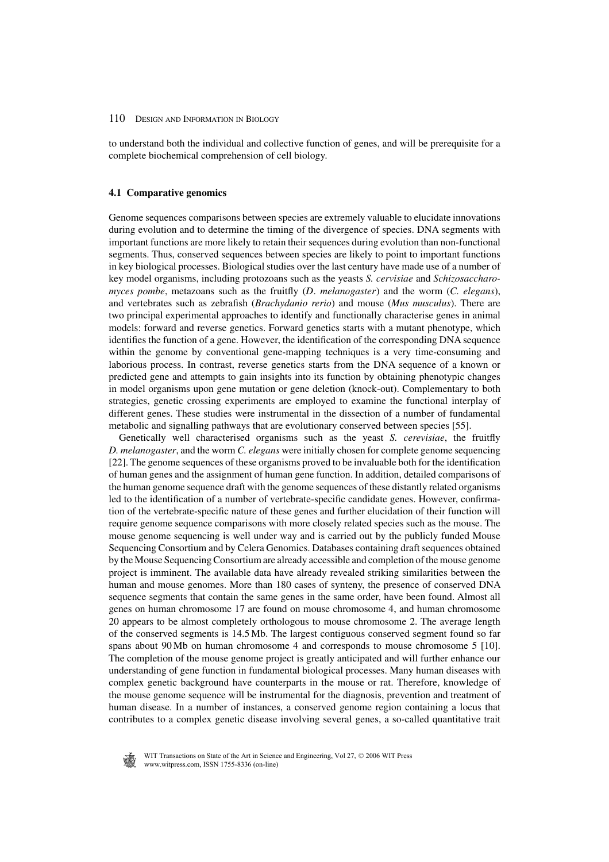to understand both the individual and collective function of genes, and will be prerequisite for a complete biochemical comprehension of cell biology.

#### **4.1 Comparative genomics**

Genome sequences comparisons between species are extremely valuable to elucidate innovations during evolution and to determine the timing of the divergence of species. DNA segments with important functions are more likely to retain their sequences during evolution than non-functional segments. Thus, conserved sequences between species are likely to point to important functions in key biological processes. Biological studies over the last century have made use of a number of key model organisms, including protozoans such as the yeasts *S. cervisiae* and *Schizosaccharomyces pombe*, metazoans such as the fruitfly (*D. melanogaster*) and the worm (*C. elegans*), and vertebrates such as zebrafish (*Brachydanio rerio*) and mouse (*Mus musculus*). There are two principal experimental approaches to identify and functionally characterise genes in animal models: forward and reverse genetics. Forward genetics starts with a mutant phenotype, which identifies the function of a gene. However, the identification of the corresponding DNA sequence within the genome by conventional gene-mapping techniques is a very time-consuming and laborious process. In contrast, reverse genetics starts from the DNA sequence of a known or predicted gene and attempts to gain insights into its function by obtaining phenotypic changes in model organisms upon gene mutation or gene deletion (knock-out). Complementary to both strategies, genetic crossing experiments are employed to examine the functional interplay of different genes. These studies were instrumental in the dissection of a number of fundamental metabolic and signalling pathways that are evolutionary conserved between species [55].

Genetically well characterised organisms such as the yeast *S. cerevisiae*, the fruitfly *D. melanogaster*, and the worm *C. elegans* were initially chosen for complete genome sequencing [22]. The genome sequences of these organisms proved to be invaluable both for the identification of human genes and the assignment of human gene function. In addition, detailed comparisons of the human genome sequence draft with the genome sequences of these distantly related organisms led to the identification of a number of vertebrate-specific candidate genes. However, confirmation of the vertebrate-specific nature of these genes and further elucidation of their function will require genome sequence comparisons with more closely related species such as the mouse. The mouse genome sequencing is well under way and is carried out by the publicly funded Mouse Sequencing Consortium and by Celera Genomics. Databases containing draft sequences obtained by the Mouse Sequencing Consortium are already accessible and completion of the mouse genome project is imminent. The available data have already revealed striking similarities between the human and mouse genomes. More than 180 cases of synteny, the presence of conserved DNA sequence segments that contain the same genes in the same order, have been found. Almost all genes on human chromosome 17 are found on mouse chromosome 4, and human chromosome 20 appears to be almost completely orthologous to mouse chromosome 2. The average length of the conserved segments is 14.5 Mb. The largest contiguous conserved segment found so far spans about 90 Mb on human chromosome 4 and corresponds to mouse chromosome 5 [10]. The completion of the mouse genome project is greatly anticipated and will further enhance our understanding of gene function in fundamental biological processes. Many human diseases with complex genetic background have counterparts in the mouse or rat. Therefore, knowledge of the mouse genome sequence will be instrumental for the diagnosis, prevention and treatment of human disease. In a number of instances, a conserved genome region containing a locus that contributes to a complex genetic disease involving several genes, a so-called quantitative trait

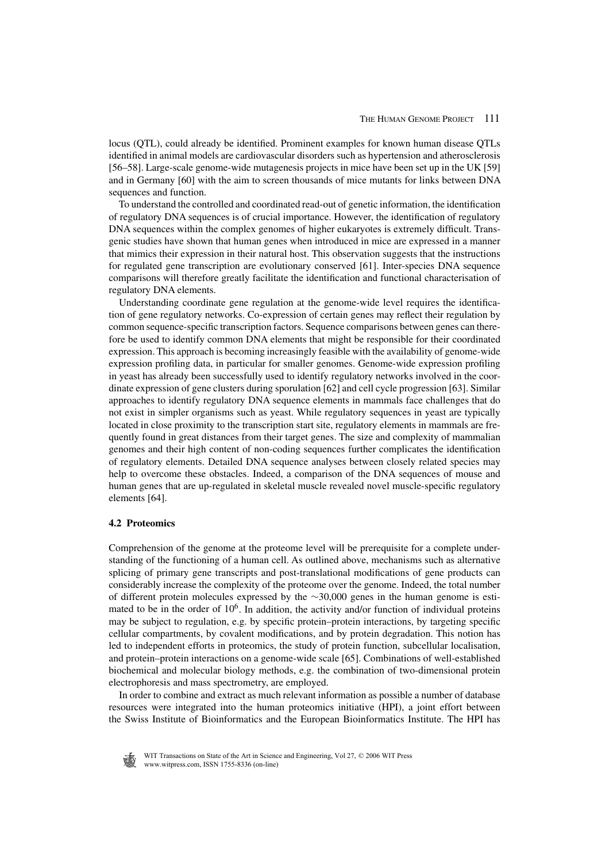locus (QTL), could already be identified. Prominent examples for known human disease QTLs identified in animal models are cardiovascular disorders such as hypertension and atherosclerosis [56–58]. Large-scale genome-wide mutagenesis projects in mice have been set up in the UK [59] and in Germany [60] with the aim to screen thousands of mice mutants for links between DNA sequences and function.

To understand the controlled and coordinated read-out of genetic information, the identification of regulatory DNA sequences is of crucial importance. However, the identification of regulatory DNA sequences within the complex genomes of higher eukaryotes is extremely difficult. Transgenic studies have shown that human genes when introduced in mice are expressed in a manner that mimics their expression in their natural host. This observation suggests that the instructions for regulated gene transcription are evolutionary conserved [61]. Inter-species DNA sequence comparisons will therefore greatly facilitate the identification and functional characterisation of regulatory DNA elements.

Understanding coordinate gene regulation at the genome-wide level requires the identification of gene regulatory networks. Co-expression of certain genes may reflect their regulation by common sequence-specific transcription factors. Sequence comparisons between genes can therefore be used to identify common DNA elements that might be responsible for their coordinated expression. This approach is becoming increasingly feasible with the availability of genome-wide expression profiling data, in particular for smaller genomes. Genome-wide expression profiling in yeast has already been successfully used to identify regulatory networks involved in the coordinate expression of gene clusters during sporulation [62] and cell cycle progression [63]. Similar approaches to identify regulatory DNA sequence elements in mammals face challenges that do not exist in simpler organisms such as yeast. While regulatory sequences in yeast are typically located in close proximity to the transcription start site, regulatory elements in mammals are frequently found in great distances from their target genes. The size and complexity of mammalian genomes and their high content of non-coding sequences further complicates the identification of regulatory elements. Detailed DNA sequence analyses between closely related species may help to overcome these obstacles. Indeed, a comparison of the DNA sequences of mouse and human genes that are up-regulated in skeletal muscle revealed novel muscle-specific regulatory elements [64].

#### **4.2 Proteomics**

Comprehension of the genome at the proteome level will be prerequisite for a complete understanding of the functioning of a human cell. As outlined above, mechanisms such as alternative splicing of primary gene transcripts and post-translational modifications of gene products can considerably increase the complexity of the proteome over the genome. Indeed, the total number of different protein molecules expressed by the ∼30,000 genes in the human genome is estimated to be in the order of  $10<sup>6</sup>$ . In addition, the activity and/or function of individual proteins may be subject to regulation, e.g. by specific protein–protein interactions, by targeting specific cellular compartments, by covalent modifications, and by protein degradation. This notion has led to independent efforts in proteomics, the study of protein function, subcellular localisation, and protein–protein interactions on a genome-wide scale [65]. Combinations of well-established biochemical and molecular biology methods, e.g. the combination of two-dimensional protein electrophoresis and mass spectrometry, are employed.

In order to combine and extract as much relevant information as possible a number of database resources were integrated into the human proteomics initiative (HPI), a joint effort between the Swiss Institute of Bioinformatics and the European Bioinformatics Institute. The HPI has

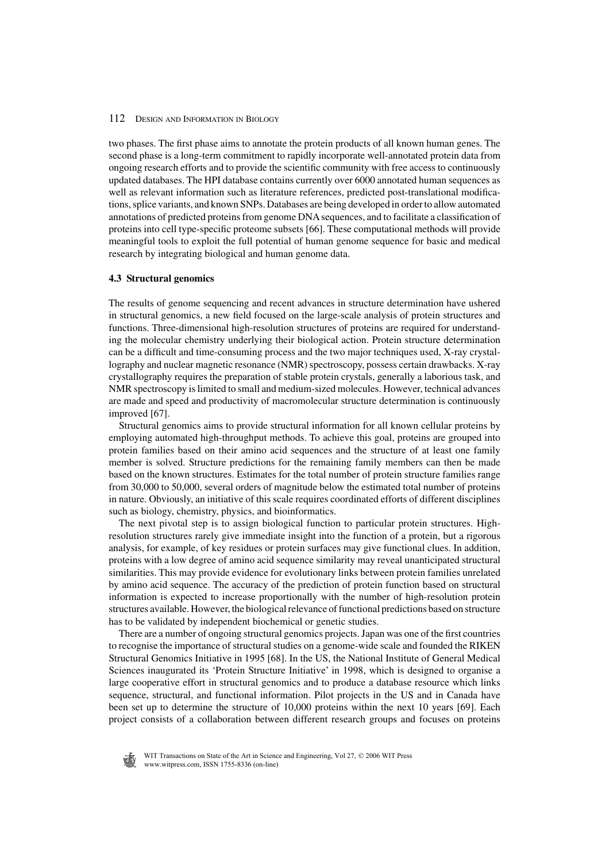two phases. The first phase aims to annotate the protein products of all known human genes. The second phase is a long-term commitment to rapidly incorporate well-annotated protein data from ongoing research efforts and to provide the scientific community with free access to continuously updated databases. The HPI database contains currently over 6000 annotated human sequences as well as relevant information such as literature references, predicted post-translational modifications, splice variants, and known SNPs. Databases are being developed in order to allow automated annotations of predicted proteins from genome DNAsequences, and to facilitate a classification of proteins into cell type-specific proteome subsets [66]. These computational methods will provide meaningful tools to exploit the full potential of human genome sequence for basic and medical research by integrating biological and human genome data.

## **4.3 Structural genomics**

The results of genome sequencing and recent advances in structure determination have ushered in structural genomics, a new field focused on the large-scale analysis of protein structures and functions. Three-dimensional high-resolution structures of proteins are required for understanding the molecular chemistry underlying their biological action. Protein structure determination can be a difficult and time-consuming process and the two major techniques used, X-ray crystallography and nuclear magnetic resonance (NMR) spectroscopy, possess certain drawbacks. X-ray crystallography requires the preparation of stable protein crystals, generally a laborious task, and NMR spectroscopy is limited to small and medium-sized molecules. However, technical advances are made and speed and productivity of macromolecular structure determination is continuously improved [67].

Structural genomics aims to provide structural information for all known cellular proteins by employing automated high-throughput methods. To achieve this goal, proteins are grouped into protein families based on their amino acid sequences and the structure of at least one family member is solved. Structure predictions for the remaining family members can then be made based on the known structures. Estimates for the total number of protein structure families range from 30,000 to 50,000, several orders of magnitude below the estimated total number of proteins in nature. Obviously, an initiative of this scale requires coordinated efforts of different disciplines such as biology, chemistry, physics, and bioinformatics.

The next pivotal step is to assign biological function to particular protein structures. Highresolution structures rarely give immediate insight into the function of a protein, but a rigorous analysis, for example, of key residues or protein surfaces may give functional clues. In addition, proteins with a low degree of amino acid sequence similarity may reveal unanticipated structural similarities. This may provide evidence for evolutionary links between protein families unrelated by amino acid sequence. The accuracy of the prediction of protein function based on structural information is expected to increase proportionally with the number of high-resolution protein structures available. However, the biological relevance of functional predictions based on structure has to be validated by independent biochemical or genetic studies.

There are a number of ongoing structural genomics projects. Japan was one of the first countries to recognise the importance of structural studies on a genome-wide scale and founded the RIKEN Structural Genomics Initiative in 1995 [68]. In the US, the National Institute of General Medical Sciences inaugurated its 'Protein Structure Initiative' in 1998, which is designed to organise a large cooperative effort in structural genomics and to produce a database resource which links sequence, structural, and functional information. Pilot projects in the US and in Canada have been set up to determine the structure of 10,000 proteins within the next 10 years [69]. Each project consists of a collaboration between different research groups and focuses on proteins

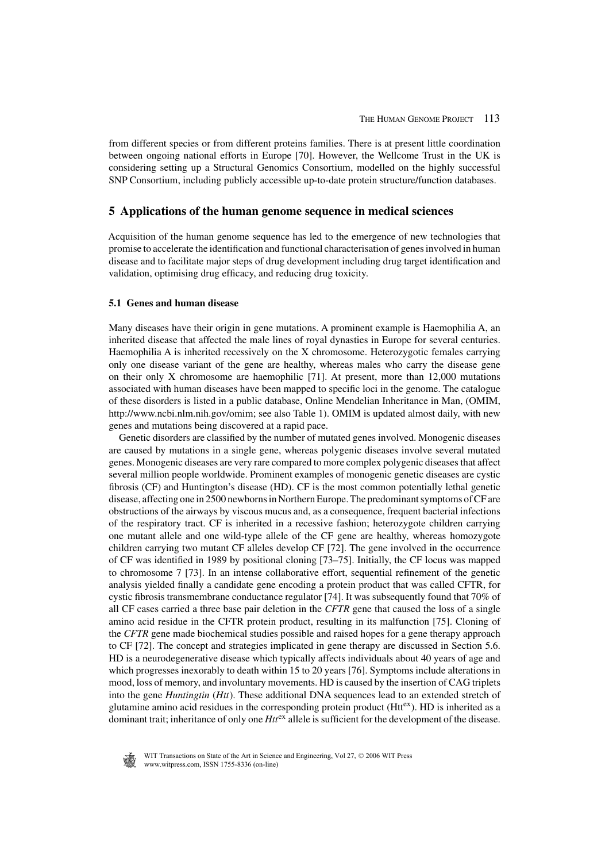from different species or from different proteins families. There is at present little coordination between ongoing national efforts in Europe [70]. However, the Wellcome Trust in the UK is considering setting up a Structural Genomics Consortium, modelled on the highly successful SNP Consortium, including publicly accessible up-to-date protein structure/function databases.

## **5 Applications of the human genome sequence in medical sciences**

Acquisition of the human genome sequence has led to the emergence of new technologies that promise to accelerate the identification and functional characterisation of genes involved in human disease and to facilitate major steps of drug development including drug target identification and validation, optimising drug efficacy, and reducing drug toxicity.

## **5.1 Genes and human disease**

Many diseases have their origin in gene mutations. A prominent example is Haemophilia A, an inherited disease that affected the male lines of royal dynasties in Europe for several centuries. Haemophilia A is inherited recessively on the X chromosome. Heterozygotic females carrying only one disease variant of the gene are healthy, whereas males who carry the disease gene on their only X chromosome are haemophilic [71]. At present, more than 12,000 mutations associated with human diseases have been mapped to specific loci in the genome. The catalogue of these disorders is listed in a public database, Online Mendelian Inheritance in Man, (OMIM, http://www.ncbi.nlm.nih.gov/omim; see also Table 1). OMIM is updated almost daily, with new genes and mutations being discovered at a rapid pace.

Genetic disorders are classified by the number of mutated genes involved. Monogenic diseases are caused by mutations in a single gene, whereas polygenic diseases involve several mutated genes. Monogenic diseases are very rare compared to more complex polygenic diseases that affect several million people worldwide. Prominent examples of monogenic genetic diseases are cystic fibrosis (CF) and Huntington's disease (HD). CF is the most common potentially lethal genetic disease, affecting one in 2500 newborns in Northern Europe. The predominant symptoms of CF are obstructions of the airways by viscous mucus and, as a consequence, frequent bacterial infections of the respiratory tract. CF is inherited in a recessive fashion; heterozygote children carrying one mutant allele and one wild-type allele of the CF gene are healthy, whereas homozygote children carrying two mutant CF alleles develop CF [72]. The gene involved in the occurrence of CF was identified in 1989 by positional cloning [73–75]. Initially, the CF locus was mapped to chromosome 7 [73]. In an intense collaborative effort, sequential refinement of the genetic analysis yielded finally a candidate gene encoding a protein product that was called CFTR, for cystic fibrosis transmembrane conductance regulator [74]. It was subsequently found that 70% of all CF cases carried a three base pair deletion in the *CFTR* gene that caused the loss of a single amino acid residue in the CFTR protein product, resulting in its malfunction [75]. Cloning of the *CFTR* gene made biochemical studies possible and raised hopes for a gene therapy approach to CF [72]. The concept and strategies implicated in gene therapy are discussed in Section 5.6. HD is a neurodegenerative disease which typically affects individuals about 40 years of age and which progresses inexorably to death within 15 to 20 years [76]. Symptoms include alterations in mood, loss of memory, and involuntary movements. HD is caused by the insertion of CAG triplets into the gene *Huntingtin* (*Htt*). These additional DNA sequences lead to an extended stretch of glutamine amino acid residues in the corresponding protein product  $(Htt^{ex})$ . HD is inherited as a dominant trait; inheritance of only one *Htt*ex allele is sufficient for the development of the disease.

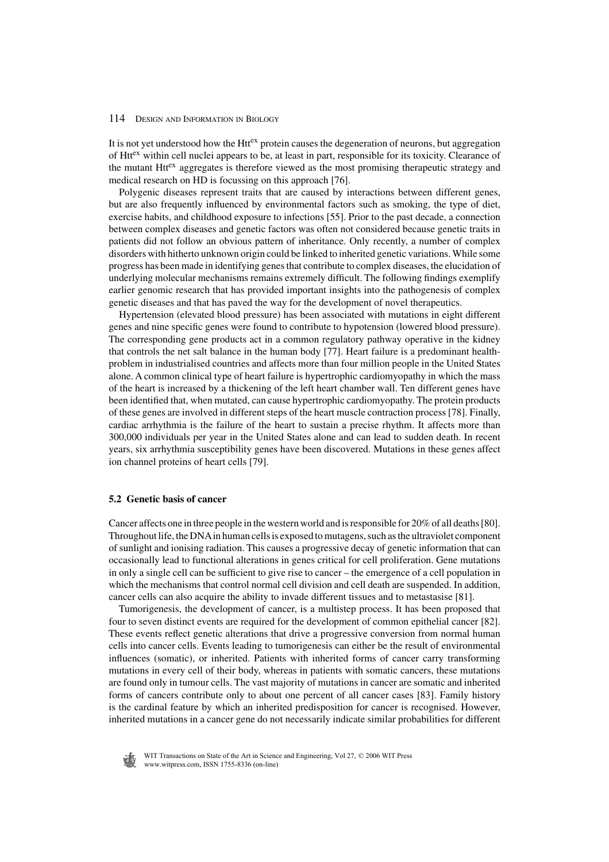It is not yet understood how the Httex protein causes the degeneration of neurons, but aggregation of Httex within cell nuclei appears to be, at least in part, responsible for its toxicity. Clearance of the mutant  $Ht^{\text{ex}}$  aggregates is therefore viewed as the most promising therapeutic strategy and medical research on HD is focussing on this approach [76].

Polygenic diseases represent traits that are caused by interactions between different genes, but are also frequently influenced by environmental factors such as smoking, the type of diet, exercise habits, and childhood exposure to infections [55]. Prior to the past decade, a connection between complex diseases and genetic factors was often not considered because genetic traits in patients did not follow an obvious pattern of inheritance. Only recently, a number of complex disorders with hitherto unknown origin could be linked to inherited genetic variations. While some progress has been made in identifying genes that contribute to complex diseases, the elucidation of underlying molecular mechanisms remains extremely difficult. The following findings exemplify earlier genomic research that has provided important insights into the pathogenesis of complex genetic diseases and that has paved the way for the development of novel therapeutics.

Hypertension (elevated blood pressure) has been associated with mutations in eight different genes and nine specific genes were found to contribute to hypotension (lowered blood pressure). The corresponding gene products act in a common regulatory pathway operative in the kidney that controls the net salt balance in the human body [77]. Heart failure is a predominant healthproblem in industrialised countries and affects more than four million people in the United States alone. A common clinical type of heart failure is hypertrophic cardiomyopathy in which the mass of the heart is increased by a thickening of the left heart chamber wall. Ten different genes have been identified that, when mutated, can cause hypertrophic cardiomyopathy. The protein products of these genes are involved in different steps of the heart muscle contraction process [78]. Finally, cardiac arrhythmia is the failure of the heart to sustain a precise rhythm. It affects more than 300,000 individuals per year in the United States alone and can lead to sudden death. In recent years, six arrhythmia susceptibility genes have been discovered. Mutations in these genes affect ion channel proteins of heart cells [79].

#### **5.2 Genetic basis of cancer**

Cancer affects one in three people in the western world and is responsible for 20% of all deaths [80]. Throughout life, the DNAin human cells is exposed to mutagens, such as the ultraviolet component of sunlight and ionising radiation. This causes a progressive decay of genetic information that can occasionally lead to functional alterations in genes critical for cell proliferation. Gene mutations in only a single cell can be sufficient to give rise to cancer – the emergence of a cell population in which the mechanisms that control normal cell division and cell death are suspended. In addition, cancer cells can also acquire the ability to invade different tissues and to metastasise [81].

Tumorigenesis, the development of cancer, is a multistep process. It has been proposed that four to seven distinct events are required for the development of common epithelial cancer [82]. These events reflect genetic alterations that drive a progressive conversion from normal human cells into cancer cells. Events leading to tumorigenesis can either be the result of environmental influences (somatic), or inherited. Patients with inherited forms of cancer carry transforming mutations in every cell of their body, whereas in patients with somatic cancers, these mutations are found only in tumour cells. The vast majority of mutations in cancer are somatic and inherited forms of cancers contribute only to about one percent of all cancer cases [83]. Family history is the cardinal feature by which an inherited predisposition for cancer is recognised. However, inherited mutations in a cancer gene do not necessarily indicate similar probabilities for different

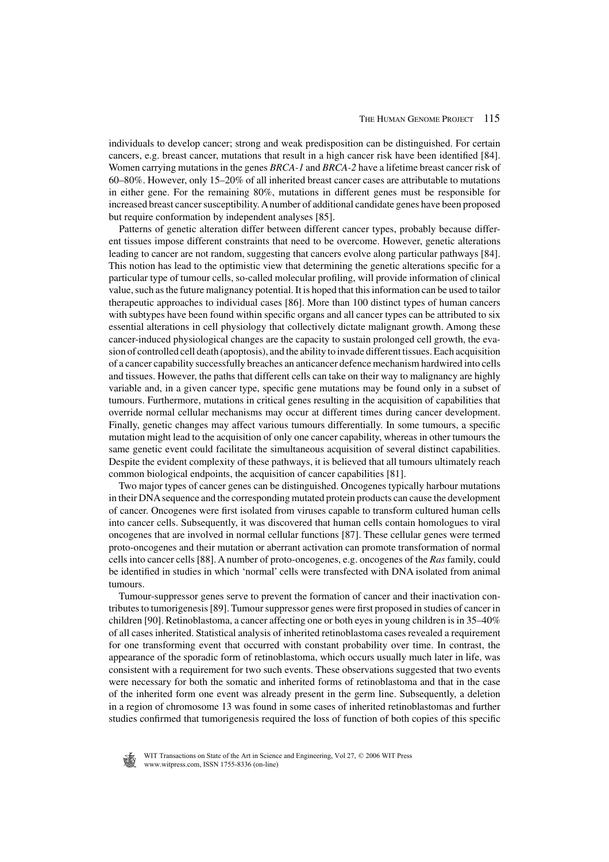individuals to develop cancer; strong and weak predisposition can be distinguished. For certain cancers, e.g. breast cancer, mutations that result in a high cancer risk have been identified [84]. Women carrying mutations in the genes *BRCA-1* and *BRCA-2* have a lifetime breast cancer risk of 60–80%. However, only 15–20% of all inherited breast cancer cases are attributable to mutations in either gene. For the remaining 80%, mutations in different genes must be responsible for increased breast cancer susceptibility.Anumber of additional candidate genes have been proposed but require conformation by independent analyses [85].

Patterns of genetic alteration differ between different cancer types, probably because different tissues impose different constraints that need to be overcome. However, genetic alterations leading to cancer are not random, suggesting that cancers evolve along particular pathways [84]. This notion has lead to the optimistic view that determining the genetic alterations specific for a particular type of tumour cells, so-called molecular profiling, will provide information of clinical value, such as the future malignancy potential. It is hoped that this information can be used to tailor therapeutic approaches to individual cases [86]. More than 100 distinct types of human cancers with subtypes have been found within specific organs and all cancer types can be attributed to six essential alterations in cell physiology that collectively dictate malignant growth. Among these cancer-induced physiological changes are the capacity to sustain prolonged cell growth, the evasion of controlled cell death (apoptosis), and the ability to invade different tissues. Each acquisition of a cancer capability successfully breaches an anticancer defence mechanism hardwired into cells and tissues. However, the paths that different cells can take on their way to malignancy are highly variable and, in a given cancer type, specific gene mutations may be found only in a subset of tumours. Furthermore, mutations in critical genes resulting in the acquisition of capabilities that override normal cellular mechanisms may occur at different times during cancer development. Finally, genetic changes may affect various tumours differentially. In some tumours, a specific mutation might lead to the acquisition of only one cancer capability, whereas in other tumours the same genetic event could facilitate the simultaneous acquisition of several distinct capabilities. Despite the evident complexity of these pathways, it is believed that all tumours ultimately reach common biological endpoints, the acquisition of cancer capabilities [81].

Two major types of cancer genes can be distinguished. Oncogenes typically harbour mutations in their DNAsequence and the corresponding mutated protein products can cause the development of cancer. Oncogenes were first isolated from viruses capable to transform cultured human cells into cancer cells. Subsequently, it was discovered that human cells contain homologues to viral oncogenes that are involved in normal cellular functions [87]. These cellular genes were termed proto-oncogenes and their mutation or aberrant activation can promote transformation of normal cells into cancer cells [88]. A number of proto-oncogenes, e.g. oncogenes of the *Ras* family, could be identified in studies in which 'normal' cells were transfected with DNA isolated from animal tumours.

Tumour-suppressor genes serve to prevent the formation of cancer and their inactivation contributes to tumorigenesis [89]. Tumour suppressor genes were first proposed in studies of cancer in children [90]. Retinoblastoma, a cancer affecting one or both eyes in young children is in 35–40% of all cases inherited. Statistical analysis of inherited retinoblastoma cases revealed a requirement for one transforming event that occurred with constant probability over time. In contrast, the appearance of the sporadic form of retinoblastoma, which occurs usually much later in life, was consistent with a requirement for two such events. These observations suggested that two events were necessary for both the somatic and inherited forms of retinoblastoma and that in the case of the inherited form one event was already present in the germ line. Subsequently, a deletion in a region of chromosome 13 was found in some cases of inherited retinoblastomas and further studies confirmed that tumorigenesis required the loss of function of both copies of this specific

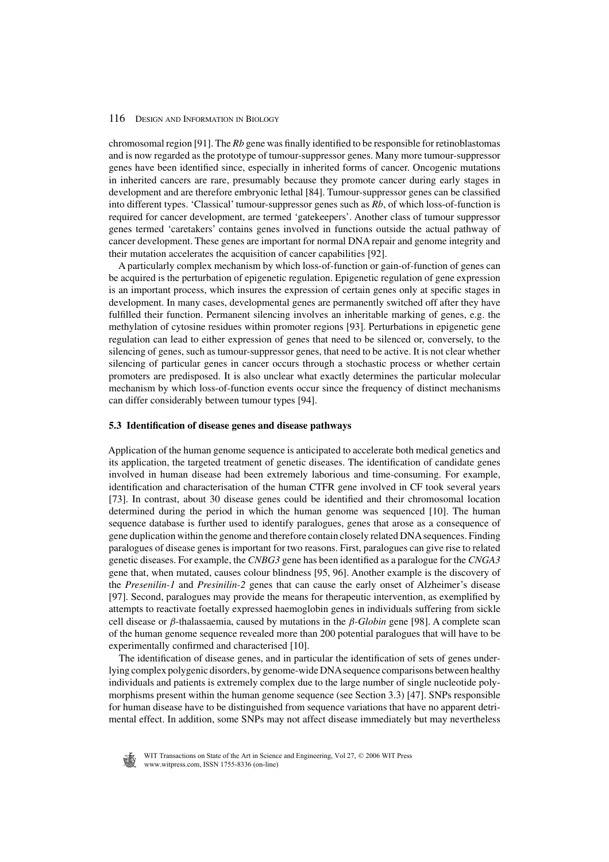chromosomal region [91]. The *Rb* gene was finally identified to be responsible for retinoblastomas and is now regarded as the prototype of tumour-suppressor genes. Many more tumour-suppressor genes have been identified since, especially in inherited forms of cancer. Oncogenic mutations in inherited cancers are rare, presumably because they promote cancer during early stages in development and are therefore embryonic lethal [84]. Tumour-suppressor genes can be classified into different types. 'Classical' tumour-suppressor genes such as *Rb*, of which loss-of-function is required for cancer development, are termed 'gatekeepers'. Another class of tumour suppressor genes termed 'caretakers' contains genes involved in functions outside the actual pathway of cancer development. These genes are important for normal DNA repair and genome integrity and their mutation accelerates the acquisition of cancer capabilities [92].

A particularly complex mechanism by which loss-of-function or gain-of-function of genes can be acquired is the perturbation of epigenetic regulation. Epigenetic regulation of gene expression is an important process, which insures the expression of certain genes only at specific stages in development. In many cases, developmental genes are permanently switched off after they have fulfilled their function. Permanent silencing involves an inheritable marking of genes, e.g. the methylation of cytosine residues within promoter regions [93]. Perturbations in epigenetic gene regulation can lead to either expression of genes that need to be silenced or, conversely, to the silencing of genes, such as tumour-suppressor genes, that need to be active. It is not clear whether silencing of particular genes in cancer occurs through a stochastic process or whether certain promoters are predisposed. It is also unclear what exactly determines the particular molecular mechanism by which loss-of-function events occur since the frequency of distinct mechanisms can differ considerably between tumour types [94].

## **5.3 Identification of disease genes and disease pathways**

Application of the human genome sequence is anticipated to accelerate both medical genetics and its application, the targeted treatment of genetic diseases. The identification of candidate genes involved in human disease had been extremely laborious and time-consuming. For example, identification and characterisation of the human CTFR gene involved in CF took several years [73]. In contrast, about 30 disease genes could be identified and their chromosomal location determined during the period in which the human genome was sequenced [10]. The human sequence database is further used to identify paralogues, genes that arose as a consequence of gene duplication within the genome and therefore contain closely related DNAsequences. Finding paralogues of disease genes is important for two reasons. First, paralogues can give rise to related genetic diseases. For example, the *CNBG3* gene has been identified as a paralogue for the *CNGA3* gene that, when mutated, causes colour blindness [95, 96]. Another example is the discovery of the *Presenilin-1* and *Presinilin-2* genes that can cause the early onset of Alzheimer's disease [97]. Second, paralogues may provide the means for therapeutic intervention, as exemplified by attempts to reactivate foetally expressed haemoglobin genes in individuals suffering from sickle cell disease or *β*-thalassaemia, caused by mutations in the *β-Globin* gene [98]. A complete scan of the human genome sequence revealed more than 200 potential paralogues that will have to be experimentally confirmed and characterised [10].

The identification of disease genes, and in particular the identification of sets of genes underlying complex polygenic disorders, by genome-wide DNAsequence comparisons between healthy individuals and patients is extremely complex due to the large number of single nucleotide polymorphisms present within the human genome sequence (see Section 3.3) [47]. SNPs responsible for human disease have to be distinguished from sequence variations that have no apparent detrimental effect. In addition, some SNPs may not affect disease immediately but may nevertheless

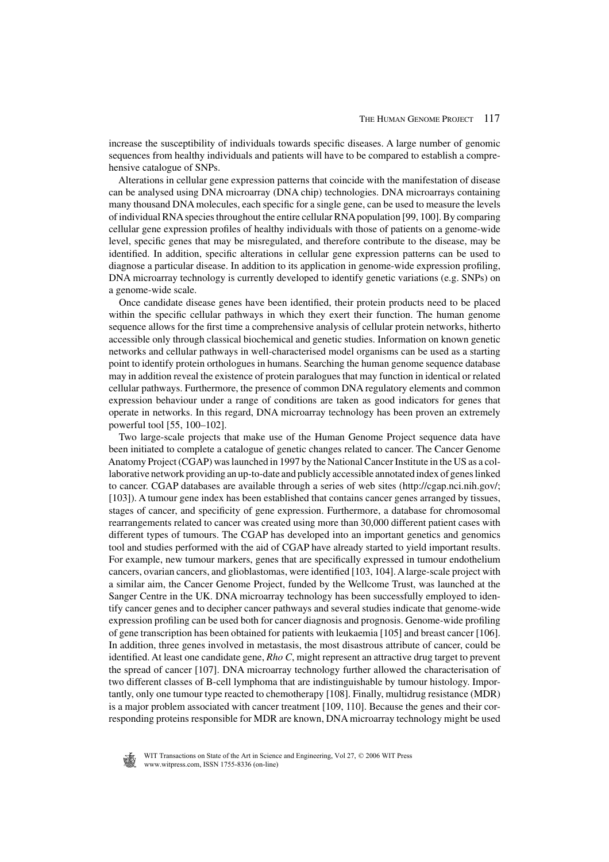increase the susceptibility of individuals towards specific diseases. A large number of genomic sequences from healthy individuals and patients will have to be compared to establish a comprehensive catalogue of SNPs.

Alterations in cellular gene expression patterns that coincide with the manifestation of disease can be analysed using DNA microarray (DNA chip) technologies. DNA microarrays containing many thousand DNA molecules, each specific for a single gene, can be used to measure the levels of individual RNAspecies throughout the entire cellular RNApopulation [99, 100]. By comparing cellular gene expression profiles of healthy individuals with those of patients on a genome-wide level, specific genes that may be misregulated, and therefore contribute to the disease, may be identified. In addition, specific alterations in cellular gene expression patterns can be used to diagnose a particular disease. In addition to its application in genome-wide expression profiling, DNA microarray technology is currently developed to identify genetic variations (e.g. SNPs) on a genome-wide scale.

Once candidate disease genes have been identified, their protein products need to be placed within the specific cellular pathways in which they exert their function. The human genome sequence allows for the first time a comprehensive analysis of cellular protein networks, hitherto accessible only through classical biochemical and genetic studies. Information on known genetic networks and cellular pathways in well-characterised model organisms can be used as a starting point to identify protein orthologues in humans. Searching the human genome sequence database may in addition reveal the existence of protein paralogues that may function in identical or related cellular pathways. Furthermore, the presence of common DNA regulatory elements and common expression behaviour under a range of conditions are taken as good indicators for genes that operate in networks. In this regard, DNA microarray technology has been proven an extremely powerful tool [55, 100–102].

Two large-scale projects that make use of the Human Genome Project sequence data have been initiated to complete a catalogue of genetic changes related to cancer. The Cancer Genome Anatomy Project (CGAP) was launched in 1997 by the National Cancer Institute in the US as a collaborative network providing an up-to-date and publicly accessible annotated index of genes linked to cancer. CGAP databases are available through a series of web sites (http://cgap.nci.nih.gov/; [103]). A tumour gene index has been established that contains cancer genes arranged by tissues, stages of cancer, and specificity of gene expression. Furthermore, a database for chromosomal rearrangements related to cancer was created using more than 30,000 different patient cases with different types of tumours. The CGAP has developed into an important genetics and genomics tool and studies performed with the aid of CGAP have already started to yield important results. For example, new tumour markers, genes that are specifically expressed in tumour endothelium cancers, ovarian cancers, and glioblastomas, were identified [103, 104]. A large-scale project with a similar aim, the Cancer Genome Project, funded by the Wellcome Trust, was launched at the Sanger Centre in the UK. DNA microarray technology has been successfully employed to identify cancer genes and to decipher cancer pathways and several studies indicate that genome-wide expression profiling can be used both for cancer diagnosis and prognosis. Genome-wide profiling of gene transcription has been obtained for patients with leukaemia [105] and breast cancer [106]. In addition, three genes involved in metastasis, the most disastrous attribute of cancer, could be identified. At least one candidate gene, *Rho C*, might represent an attractive drug target to prevent the spread of cancer [107]. DNA microarray technology further allowed the characterisation of two different classes of B-cell lymphoma that are indistinguishable by tumour histology. Importantly, only one tumour type reacted to chemotherapy [108]. Finally, multidrug resistance (MDR) is a major problem associated with cancer treatment [109, 110]. Because the genes and their corresponding proteins responsible for MDR are known, DNA microarray technology might be used

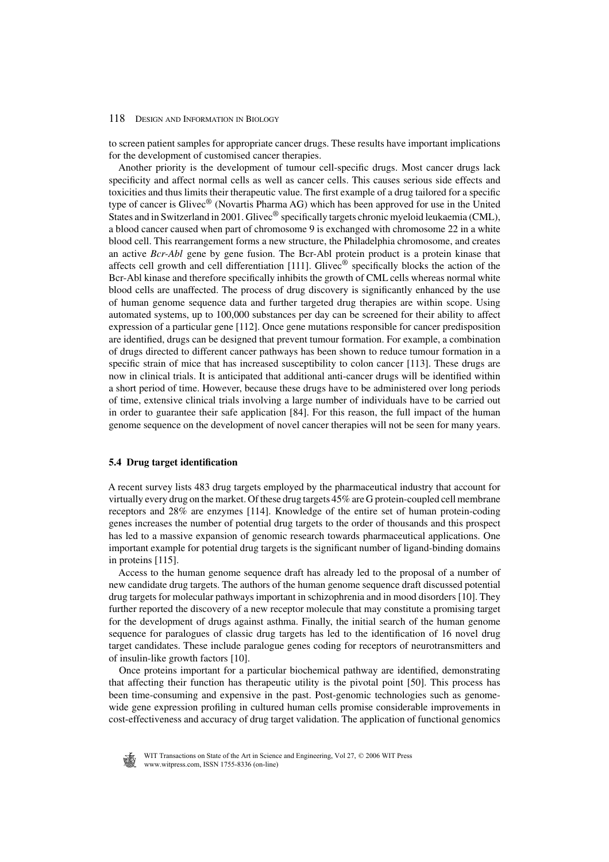to screen patient samples for appropriate cancer drugs. These results have important implications for the development of customised cancer therapies.

Another priority is the development of tumour cell-specific drugs. Most cancer drugs lack specificity and affect normal cells as well as cancer cells. This causes serious side effects and toxicities and thus limits their therapeutic value. The first example of a drug tailored for a specific type of cancer is Glivec® (Novartis Pharma AG) which has been approved for use in the United States and in Switzerland in 2001. Glivec<sup>®</sup> specifically targets chronic myeloid leukaemia (CML), a blood cancer caused when part of chromosome 9 is exchanged with chromosome 22 in a white blood cell. This rearrangement forms a new structure, the Philadelphia chromosome, and creates an active *Bcr-Abl* gene by gene fusion. The Bcr-Abl protein product is a protein kinase that affects cell growth and cell differentiation [111]. Glivec® specifically blocks the action of the Bcr-Abl kinase and therefore specifically inhibits the growth of CML cells whereas normal white blood cells are unaffected. The process of drug discovery is significantly enhanced by the use of human genome sequence data and further targeted drug therapies are within scope. Using automated systems, up to 100,000 substances per day can be screened for their ability to affect expression of a particular gene [112]. Once gene mutations responsible for cancer predisposition are identified, drugs can be designed that prevent tumour formation. For example, a combination of drugs directed to different cancer pathways has been shown to reduce tumour formation in a specific strain of mice that has increased susceptibility to colon cancer [113]. These drugs are now in clinical trials. It is anticipated that additional anti-cancer drugs will be identified within a short period of time. However, because these drugs have to be administered over long periods of time, extensive clinical trials involving a large number of individuals have to be carried out in order to guarantee their safe application [84]. For this reason, the full impact of the human genome sequence on the development of novel cancer therapies will not be seen for many years.

#### **5.4 Drug target identification**

A recent survey lists 483 drug targets employed by the pharmaceutical industry that account for virtually every drug on the market. Of these drug targets 45% are G protein-coupled cell membrane receptors and 28% are enzymes [114]. Knowledge of the entire set of human protein-coding genes increases the number of potential drug targets to the order of thousands and this prospect has led to a massive expansion of genomic research towards pharmaceutical applications. One important example for potential drug targets is the significant number of ligand-binding domains in proteins [115].

Access to the human genome sequence draft has already led to the proposal of a number of new candidate drug targets. The authors of the human genome sequence draft discussed potential drug targets for molecular pathways important in schizophrenia and in mood disorders [10]. They further reported the discovery of a new receptor molecule that may constitute a promising target for the development of drugs against asthma. Finally, the initial search of the human genome sequence for paralogues of classic drug targets has led to the identification of 16 novel drug target candidates. These include paralogue genes coding for receptors of neurotransmitters and of insulin-like growth factors [10].

Once proteins important for a particular biochemical pathway are identified, demonstrating that affecting their function has therapeutic utility is the pivotal point [50]. This process has been time-consuming and expensive in the past. Post-genomic technologies such as genomewide gene expression profiling in cultured human cells promise considerable improvements in cost-effectiveness and accuracy of drug target validation. The application of functional genomics

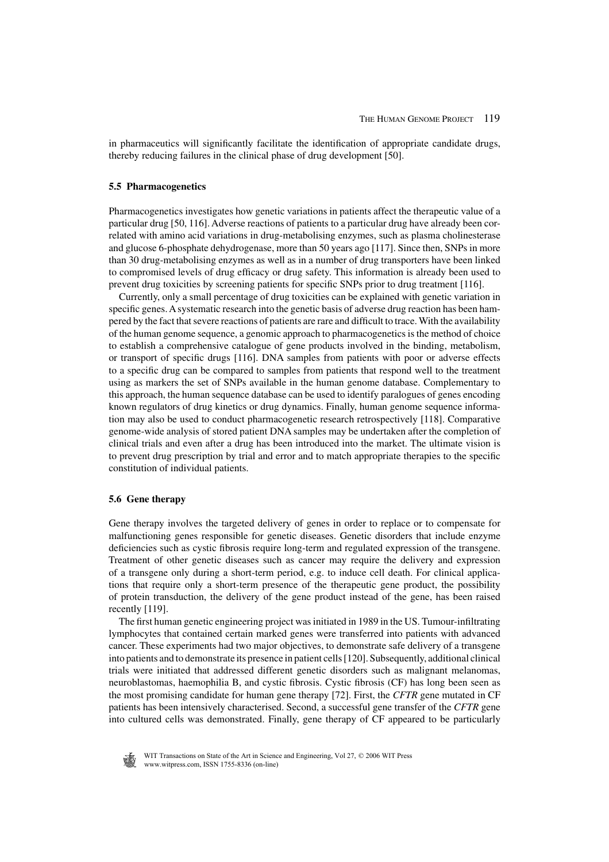in pharmaceutics will significantly facilitate the identification of appropriate candidate drugs, thereby reducing failures in the clinical phase of drug development [50].

#### **5.5 Pharmacogenetics**

Pharmacogenetics investigates how genetic variations in patients affect the therapeutic value of a particular drug [50, 116]. Adverse reactions of patients to a particular drug have already been correlated with amino acid variations in drug-metabolising enzymes, such as plasma cholinesterase and glucose 6-phosphate dehydrogenase, more than 50 years ago [117]. Since then, SNPs in more than 30 drug-metabolising enzymes as well as in a number of drug transporters have been linked to compromised levels of drug efficacy or drug safety. This information is already been used to prevent drug toxicities by screening patients for specific SNPs prior to drug treatment [116].

Currently, only a small percentage of drug toxicities can be explained with genetic variation in specific genes. A systematic research into the genetic basis of adverse drug reaction has been hampered by the fact that severe reactions of patients are rare and difficult to trace. With the availability of the human genome sequence, a genomic approach to pharmacogenetics is the method of choice to establish a comprehensive catalogue of gene products involved in the binding, metabolism, or transport of specific drugs [116]. DNA samples from patients with poor or adverse effects to a specific drug can be compared to samples from patients that respond well to the treatment using as markers the set of SNPs available in the human genome database. Complementary to this approach, the human sequence database can be used to identify paralogues of genes encoding known regulators of drug kinetics or drug dynamics. Finally, human genome sequence information may also be used to conduct pharmacogenetic research retrospectively [118]. Comparative genome-wide analysis of stored patient DNA samples may be undertaken after the completion of clinical trials and even after a drug has been introduced into the market. The ultimate vision is to prevent drug prescription by trial and error and to match appropriate therapies to the specific constitution of individual patients.

#### **5.6 Gene therapy**

Gene therapy involves the targeted delivery of genes in order to replace or to compensate for malfunctioning genes responsible for genetic diseases. Genetic disorders that include enzyme deficiencies such as cystic fibrosis require long-term and regulated expression of the transgene. Treatment of other genetic diseases such as cancer may require the delivery and expression of a transgene only during a short-term period, e.g. to induce cell death. For clinical applications that require only a short-term presence of the therapeutic gene product, the possibility of protein transduction, the delivery of the gene product instead of the gene, has been raised recently [119].

The first human genetic engineering project was initiated in 1989 in the US. Tumour-infiltrating lymphocytes that contained certain marked genes were transferred into patients with advanced cancer. These experiments had two major objectives, to demonstrate safe delivery of a transgene into patients and to demonstrate its presence in patient cells [120]. Subsequently, additional clinical trials were initiated that addressed different genetic disorders such as malignant melanomas, neuroblastomas, haemophilia B, and cystic fibrosis. Cystic fibrosis (CF) has long been seen as the most promising candidate for human gene therapy [72]. First, the *CFTR* gene mutated in CF patients has been intensively characterised. Second, a successful gene transfer of the *CFTR* gene into cultured cells was demonstrated. Finally, gene therapy of CF appeared to be particularly

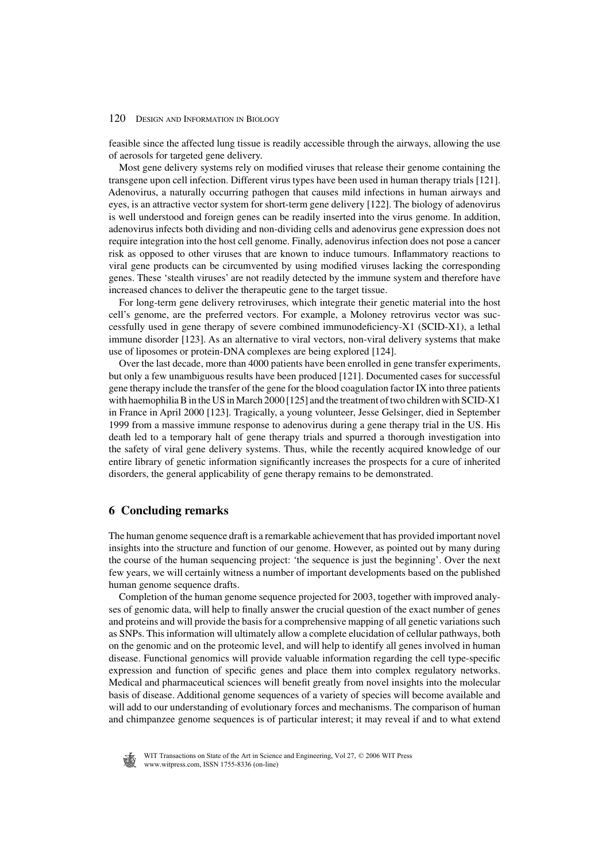feasible since the affected lung tissue is readily accessible through the airways, allowing the use of aerosols for targeted gene delivery.

Most gene delivery systems rely on modified viruses that release their genome containing the transgene upon cell infection. Different virus types have been used in human therapy trials [121]. Adenovirus, a naturally occurring pathogen that causes mild infections in human airways and eyes, is an attractive vector system for short-term gene delivery [122]. The biology of adenovirus is well understood and foreign genes can be readily inserted into the virus genome. In addition, adenovirus infects both dividing and non-dividing cells and adenovirus gene expression does not require integration into the host cell genome. Finally, adenovirus infection does not pose a cancer risk as opposed to other viruses that are known to induce tumours. Inflammatory reactions to viral gene products can be circumvented by using modified viruses lacking the corresponding genes. These 'stealth viruses' are not readily detected by the immune system and therefore have increased chances to deliver the therapeutic gene to the target tissue.

For long-term gene delivery retroviruses, which integrate their genetic material into the host cell's genome, are the preferred vectors. For example, a Moloney retrovirus vector was successfully used in gene therapy of severe combined immunodeficiency-X1 (SCID-X1), a lethal immune disorder [123]. As an alternative to viral vectors, non-viral delivery systems that make use of liposomes or protein-DNA complexes are being explored [124].

Over the last decade, more than 4000 patients have been enrolled in gene transfer experiments, but only a few unambiguous results have been produced [121]. Documented cases for successful gene therapy include the transfer of the gene for the blood coagulation factor IX into three patients with haemophilia B in the US in March 2000 [125] and the treatment of two children with SCID-X1 in France in April 2000 [123]. Tragically, a young volunteer, Jesse Gelsinger, died in September 1999 from a massive immune response to adenovirus during a gene therapy trial in the US. His death led to a temporary halt of gene therapy trials and spurred a thorough investigation into the safety of viral gene delivery systems. Thus, while the recently acquired knowledge of our entire library of genetic information significantly increases the prospects for a cure of inherited disorders, the general applicability of gene therapy remains to be demonstrated.

## **6 Concluding remarks**

The human genome sequence draft is a remarkable achievement that has provided important novel insights into the structure and function of our genome. However, as pointed out by many during the course of the human sequencing project: 'the sequence is just the beginning'. Over the next few years, we will certainly witness a number of important developments based on the published human genome sequence drafts.

Completion of the human genome sequence projected for 2003, together with improved analyses of genomic data, will help to finally answer the crucial question of the exact number of genes and proteins and will provide the basis for a comprehensive mapping of all genetic variations such as SNPs. This information will ultimately allow a complete elucidation of cellular pathways, both on the genomic and on the proteomic level, and will help to identify all genes involved in human disease. Functional genomics will provide valuable information regarding the cell type-specific expression and function of specific genes and place them into complex regulatory networks. Medical and pharmaceutical sciences will benefit greatly from novel insights into the molecular basis of disease. Additional genome sequences of a variety of species will become available and will add to our understanding of evolutionary forces and mechanisms. The comparison of human and chimpanzee genome sequences is of particular interest; it may reveal if and to what extend

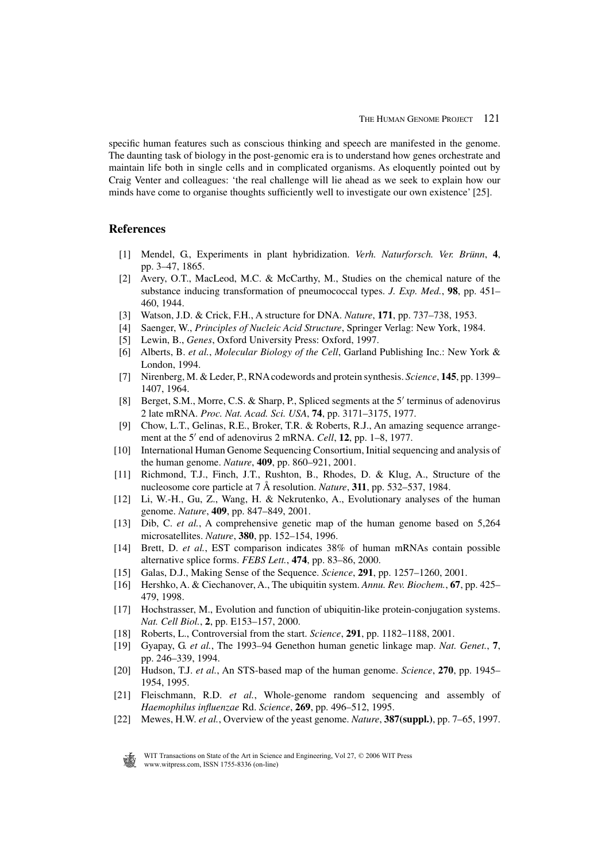specific human features such as conscious thinking and speech are manifested in the genome. The daunting task of biology in the post-genomic era is to understand how genes orchestrate and maintain life both in single cells and in complicated organisms. As eloquently pointed out by Craig Venter and colleagues: 'the real challenge will lie ahead as we seek to explain how our minds have come to organise thoughts sufficiently well to investigate our own existence' [25].

## **References**

- [1] Mendel, G., Experiments in plant hybridization. *Verh. Naturforsch. Ver. Brünn*, **4**, pp. 3–47, 1865.
- [2] Avery, O.T., MacLeod, M.C. & McCarthy, M., Studies on the chemical nature of the substance inducing transformation of pneumococcal types. *J. Exp. Med.*, **98**, pp. 451– 460, 1944.
- [3] Watson, J.D. & Crick, F.H., A structure for DNA. *Nature*, **171**, pp. 737–738, 1953.
- [4] Saenger, W., *Principles of Nucleic Acid Structure*, Springer Verlag: New York, 1984.
- [5] Lewin, B., *Genes*, Oxford University Press: Oxford, 1997.
- [6] Alberts, B. *et al.*, *Molecular Biology of the Cell*, Garland Publishing Inc.: New York & London, 1994.
- [7] Nirenberg, M. & Leder, P., RNAcodewords and protein synthesis. *Science*, **145**, pp. 1399– 1407, 1964.
- [8] Berget, S.M., Morre, C.S. & Sharp, P., Spliced segments at the 5' terminus of adenovirus 2 late mRNA. *Proc. Nat. Acad. Sci. USA*, **74**, pp. 3171–3175, 1977.
- [9] Chow, L.T., Gelinas, R.E., Broker, T.R. & Roberts, R.J., An amazing sequence arrangement at the 5' end of adenovirus 2 mRNA. *Cell*, 12, pp. 1–8, 1977.
- [10] International Human Genome Sequencing Consortium, Initial sequencing and analysis of the human genome. *Nature*, **409**, pp. 860–921, 2001.
- [11] Richmond, T.J., Finch, J.T., Rushton, B., Rhodes, D. & Klug, A., Structure of the nucleosome core particle at 7 Å resolution. *Nature*, **311**, pp. 532–537, 1984.
- [12] Li, W.-H., Gu, Z., Wang, H. & Nekrutenko, A., Evolutionary analyses of the human genome. *Nature*, **409**, pp. 847–849, 2001.
- [13] Dib, C. *et al.*, A comprehensive genetic map of the human genome based on 5,264 microsatellites. *Nature*, **380**, pp. 152–154, 1996.
- [14] Brett, D. *et al.*, EST comparison indicates 38% of human mRNAs contain possible alternative splice forms. *FEBS Lett.*, **474**, pp. 83–86, 2000.
- [15] Galas, D.J., Making Sense of the Sequence. *Science*, **291**, pp. 1257–1260, 2001.
- [16] Hershko, A. & Ciechanover, A., The ubiquitin system. *Annu. Rev. Biochem.*, **67**, pp. 425– 479, 1998.
- [17] Hochstrasser, M., Evolution and function of ubiquitin-like protein-conjugation systems. *Nat. Cell Biol.*, **2**, pp. E153–157, 2000.
- [18] Roberts, L., Controversial from the start. *Science*, **291**, pp. 1182–1188, 2001.
- [19] Gyapay, G. *et al.*, The 1993–94 Genethon human genetic linkage map. *Nat. Genet.*, **7**, pp. 246–339, 1994.
- [20] Hudson, T.J. *et al.*, An STS-based map of the human genome. *Science*, **270**, pp. 1945– 1954, 1995.
- [21] Fleischmann, R.D. *et al.*, Whole-genome random sequencing and assembly of *Haemophilus influenzae* Rd. *Science*, **269**, pp. 496–512, 1995.
- [22] Mewes, H.W. *et al.*, Overview of the yeast genome. *Nature*, **387(suppl.)**, pp. 7–65, 1997.

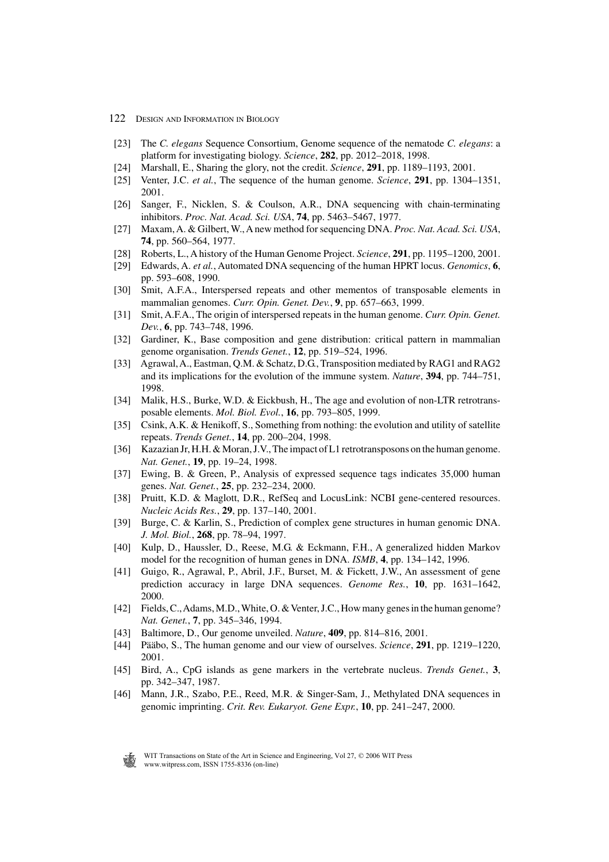- [23] The *C. elegans* Sequence Consortium, Genome sequence of the nematode *C. elegans*: a platform for investigating biology. *Science*, **282**, pp. 2012–2018, 1998.
- [24] Marshall, E., Sharing the glory, not the credit. *Science*, **291**, pp. 1189–1193, 2001.
- [25] Venter, J.C. *et al.*, The sequence of the human genome. *Science*, **291**, pp. 1304–1351, 2001.
- [26] Sanger, F., Nicklen, S. & Coulson, A.R., DNA sequencing with chain-terminating inhibitors. *Proc. Nat. Acad. Sci. USA*, **74**, pp. 5463–5467, 1977.
- [27] Maxam, A. & Gilbert, W., A new method for sequencing DNA. *Proc. Nat. Acad. Sci. USA*, **74**, pp. 560–564, 1977.
- [28] Roberts, L., A history of the Human Genome Project. *Science*, **291**, pp. 1195–1200, 2001.
- [29] Edwards, A. *et al.*, Automated DNA sequencing of the human HPRT locus. *Genomics*, **6**, pp. 593–608, 1990.
- [30] Smit, A.F.A., Interspersed repeats and other mementos of transposable elements in mammalian genomes. *Curr. Opin. Genet. Dev.*, **9**, pp. 657–663, 1999.
- [31] Smit, A.F.A., The origin of interspersed repeats in the human genome. *Curr. Opin. Genet. Dev.*, **6**, pp. 743–748, 1996.
- [32] Gardiner, K., Base composition and gene distribution: critical pattern in mammalian genome organisation. *Trends Genet.*, **12**, pp. 519–524, 1996.
- [33] Agrawal,A., Eastman, Q.M. & Schatz, D.G., Transposition mediated by RAG1 and RAG2 and its implications for the evolution of the immune system. *Nature*, **394**, pp. 744–751, 1998.
- [34] Malik, H.S., Burke, W.D. & Eickbush, H., The age and evolution of non-LTR retrotransposable elements. *Mol. Biol. Evol.*, **16**, pp. 793–805, 1999.
- [35] Csink, A.K. & Henikoff, S., Something from nothing: the evolution and utility of satellite repeats. *Trends Genet.*, **14**, pp. 200–204, 1998.
- [36] Kazazian Jr, H.H. & Moran, J.V., The impact of L1 retrotransposons on the human genome. *Nat. Genet.*, **19**, pp. 19–24, 1998.
- [37] Ewing, B. & Green, P., Analysis of expressed sequence tags indicates 35,000 human genes. *Nat. Genet.*, **25**, pp. 232–234, 2000.
- [38] Pruitt, K.D. & Maglott, D.R., RefSeq and LocusLink: NCBI gene-centered resources. *Nucleic Acids Res.*, **29**, pp. 137–140, 2001.
- [39] Burge, C. & Karlin, S., Prediction of complex gene structures in human genomic DNA. *J. Mol. Biol.*, **268**, pp. 78–94, 1997.
- [40] Kulp, D., Haussler, D., Reese, M.G. & Eckmann, F.H., A generalized hidden Markov model for the recognition of human genes in DNA. *ISMB*, **4**, pp. 134–142, 1996.
- [41] Guigo, R., Agrawal, P., Abril, J.F., Burset, M. & Fickett, J.W., An assessment of gene prediction accuracy in large DNA sequences. *Genome Res.*, **10**, pp. 1631–1642, 2000.
- [42] Fields, C.,Adams, M.D., White, O. & Venter, J.C., How many genes in the human genome? *Nat. Genet.*, **7**, pp. 345–346, 1994.
- [43] Baltimore, D., Our genome unveiled. *Nature*, **409**, pp. 814–816, 2001.
- [44] Pääbo, S., The human genome and our view of ourselves. *Science*, **291**, pp. 1219–1220, 2001.
- [45] Bird, A., CpG islands as gene markers in the vertebrate nucleus. *Trends Genet.*, **3**, pp. 342–347, 1987.
- [46] Mann, J.R., Szabo, P.E., Reed, M.R. & Singer-Sam, J., Methylated DNA sequences in genomic imprinting. *Crit. Rev. Eukaryot. Gene Expr.*, **10**, pp. 241–247, 2000.

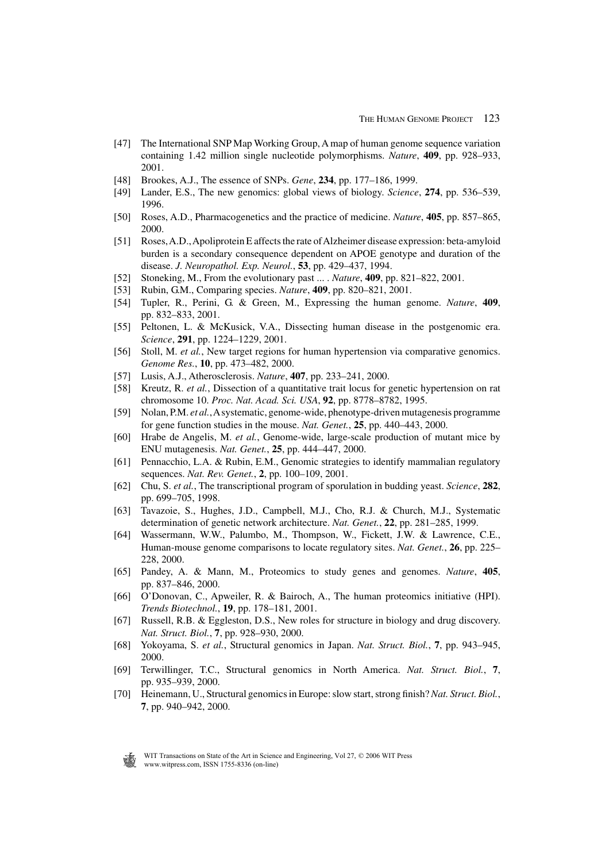- [47] The International SNP Map Working Group, A map of human genome sequence variation containing 1.42 million single nucleotide polymorphisms. *Nature*, **409**, pp. 928–933, 2001.
- [48] Brookes, A.J., The essence of SNPs. *Gene*, **234**, pp. 177–186, 1999.
- [49] Lander, E.S., The new genomics: global views of biology. *Science*, **274**, pp. 536–539, 1996.
- [50] Roses, A.D., Pharmacogenetics and the practice of medicine. *Nature*, **405**, pp. 857–865, 2000.
- [51] Roses,A.D.,Apoliprotein E affects the rate ofAlzheimer disease expression: beta-amyloid burden is a secondary consequence dependent on APOE genotype and duration of the disease. *J. Neuropathol. Exp. Neurol.*, **53**, pp. 429–437, 1994.
- [52] Stoneking, M., From the evolutionary past ... . *Nature*, **409**, pp. 821–822, 2001.
- [53] Rubin, G.M., Comparing species. *Nature*, **409**, pp. 820–821, 2001.
- [54] Tupler, R., Perini, G. & Green, M., Expressing the human genome. *Nature*, **409**, pp. 832–833, 2001.
- [55] Peltonen, L. & McKusick, V.A., Dissecting human disease in the postgenomic era. *Science*, **291**, pp. 1224–1229, 2001.
- [56] Stoll, M. *et al.*, New target regions for human hypertension via comparative genomics. *Genome Res.*, **10**, pp. 473–482, 2000.
- [57] Lusis, A.J., Atherosclerosis. *Nature*, **407**, pp. 233–241, 2000.
- [58] Kreutz, R. *et al.*, Dissection of a quantitative trait locus for genetic hypertension on rat chromosome 10. *Proc. Nat. Acad. Sci. USA*, **92**, pp. 8778–8782, 1995.
- [59] Nolan, P.M. *et al.*,Asystematic, genome-wide, phenotype-driven mutagenesis programme for gene function studies in the mouse. *Nat. Genet.*, **25**, pp. 440–443, 2000.
- [60] Hrabe de Angelis, M. *et al.*, Genome-wide, large-scale production of mutant mice by ENU mutagenesis. *Nat. Genet.*, **25**, pp. 444–447, 2000.
- [61] Pennacchio, L.A. & Rubin, E.M., Genomic strategies to identify mammalian regulatory sequences. *Nat. Rev. Genet.*, **2**, pp. 100–109, 2001.
- [62] Chu, S. *et al.*, The transcriptional program of sporulation in budding yeast. *Science*, **282**, pp. 699–705, 1998.
- [63] Tavazoie, S., Hughes, J.D., Campbell, M.J., Cho, R.J. & Church, M.J., Systematic determination of genetic network architecture. *Nat. Genet.*, **22**, pp. 281–285, 1999.
- [64] Wassermann, W.W., Palumbo, M., Thompson, W., Fickett, J.W. & Lawrence, C.E., Human-mouse genome comparisons to locate regulatory sites. *Nat. Genet.*, **26**, pp. 225– 228, 2000.
- [65] Pandey, A. & Mann, M., Proteomics to study genes and genomes. *Nature*, **405**, pp. 837–846, 2000.
- [66] O'Donovan, C., Apweiler, R. & Bairoch, A., The human proteomics initiative (HPI). *Trends Biotechnol.*, **19**, pp. 178–181, 2001.
- [67] Russell, R.B. & Eggleston, D.S., New roles for structure in biology and drug discovery. *Nat. Struct. Biol.*, **7**, pp. 928–930, 2000.
- [68] Yokoyama, S. *et al.*, Structural genomics in Japan. *Nat. Struct. Biol.*, **7**, pp. 943–945, 2000.
- [69] Terwillinger, T.C., Structural genomics in North America. *Nat. Struct. Biol.*, **7**, pp. 935–939, 2000.
- [70] Heinemann, U., Structural genomics in Europe: slow start, strong finish?*Nat. Struct. Biol.*, **7**, pp. 940–942, 2000.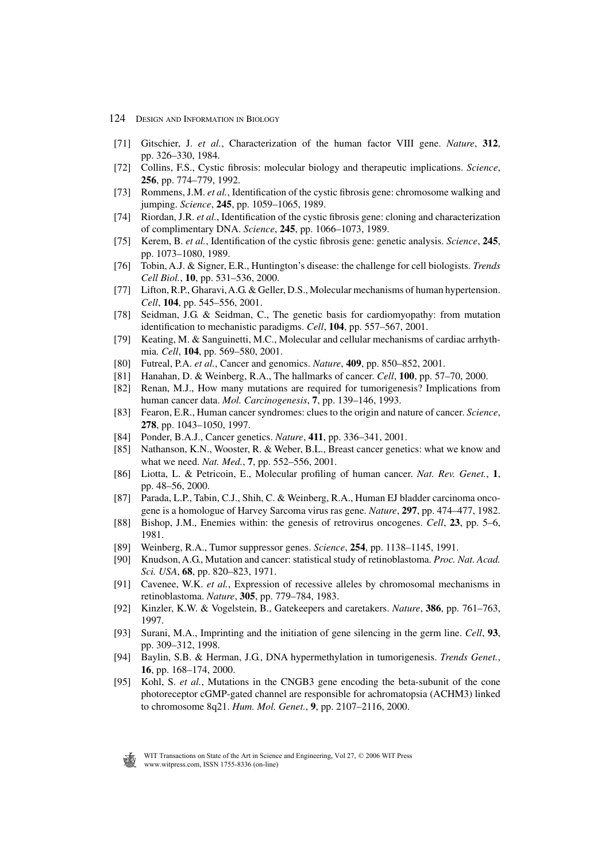- [71] Gitschier, J. *et al.*, Characterization of the human factor VIII gene. *Nature*, **312**, pp. 326–330, 1984.
- [72] Collins, F.S., Cystic fibrosis: molecular biology and therapeutic implications. *Science*, **256**, pp. 774–779, 1992.
- [73] Rommens, J.M. *et al.*, Identification of the cystic fibrosis gene: chromosome walking and jumping. *Science*, **245**, pp. 1059–1065, 1989.
- [74] Riordan, J.R. *et al.*, Identification of the cystic fibrosis gene: cloning and characterization of complimentary DNA. *Science*, **245**, pp. 1066–1073, 1989.
- [75] Kerem, B. *et al.*, Identification of the cystic fibrosis gene: genetic analysis. *Science*, **245**, pp. 1073–1080, 1989.
- [76] Tobin, A.J. & Signer, E.R., Huntington's disease: the challenge for cell biologists. *Trends Cell Biol.*, **10**, pp. 531–536, 2000.
- [77] Lifton, R.P., Gharavi,A.G. & Geller, D.S., Molecular mechanisms of human hypertension. *Cell*, **104**, pp. 545–556, 2001.
- [78] Seidman, J.G. & Seidman, C., The genetic basis for cardiomyopathy: from mutation identification to mechanistic paradigms. *Cell*, **104**, pp. 557–567, 2001.
- [79] Keating, M. & Sanguinetti, M.C., Molecular and cellular mechanisms of cardiac arrhythmia. *Cell*, **104**, pp. 569–580, 2001.
- [80] Futreal, P.A. *et al.*, Cancer and genomics. *Nature*, **409**, pp. 850–852, 2001.
- [81] Hanahan, D. & Weinberg, R.A., The hallmarks of cancer. *Cell*, **100**, pp. 57–70, 2000.
- [82] Renan, M.J., How many mutations are required for tumorigenesis? Implications from human cancer data. *Mol. Carcinogenesis*, **7**, pp. 139–146, 1993.
- [83] Fearon, E.R., Human cancer syndromes: clues to the origin and nature of cancer. *Science*, **278**, pp. 1043–1050, 1997.
- [84] Ponder, B.A.J., Cancer genetics. *Nature*, **411**, pp. 336–341, 2001.
- [85] Nathanson, K.N., Wooster, R. & Weber, B.L., Breast cancer genetics: what we know and what we need. *Nat. Med.*, **7**, pp. 552–556, 2001.
- [86] Liotta, L. & Petricoin, E., Molecular profiling of human cancer. *Nat. Rev. Genet.*, **1**, pp. 48–56, 2000.
- [87] Parada, L.P., Tabin, C.J., Shih, C. & Weinberg, R.A., Human EJ bladder carcinoma oncogene is a homologue of Harvey Sarcoma virus ras gene. *Nature*, **297**, pp. 474–477, 1982.
- [88] Bishop, J.M., Enemies within: the genesis of retrovirus oncogenes. *Cell*, **23**, pp. 5–6, 1981.
- [89] Weinberg, R.A., Tumor suppressor genes. *Science*, **254**, pp. 1138–1145, 1991.
- [90] Knudson, A.G., Mutation and cancer: statistical study of retinoblastoma. *Proc. Nat. Acad. Sci. USA*, **68**, pp. 820–823, 1971.
- [91] Cavenee, W.K. *et al.*, Expression of recessive alleles by chromosomal mechanisms in retinoblastoma. *Nature*, **305**, pp. 779–784, 1983.
- [92] Kinzler, K.W. & Vogelstein, B., Gatekeepers and caretakers. *Nature*, **386**, pp. 761–763, 1997.
- [93] Surani, M.A., Imprinting and the initiation of gene silencing in the germ line. *Cell*, **93**, pp. 309–312, 1998.
- [94] Baylin, S.B. & Herman, J.G., DNA hypermethylation in tumorigenesis. *Trends Genet.*, **16**, pp. 168–174, 2000.
- [95] Kohl, S. *et al.*, Mutations in the CNGB3 gene encoding the beta-subunit of the cone photoreceptor cGMP-gated channel are responsible for achromatopsia (ACHM3) linked to chromosome 8q21. *Hum. Mol. Genet.*, **9**, pp. 2107–2116, 2000.

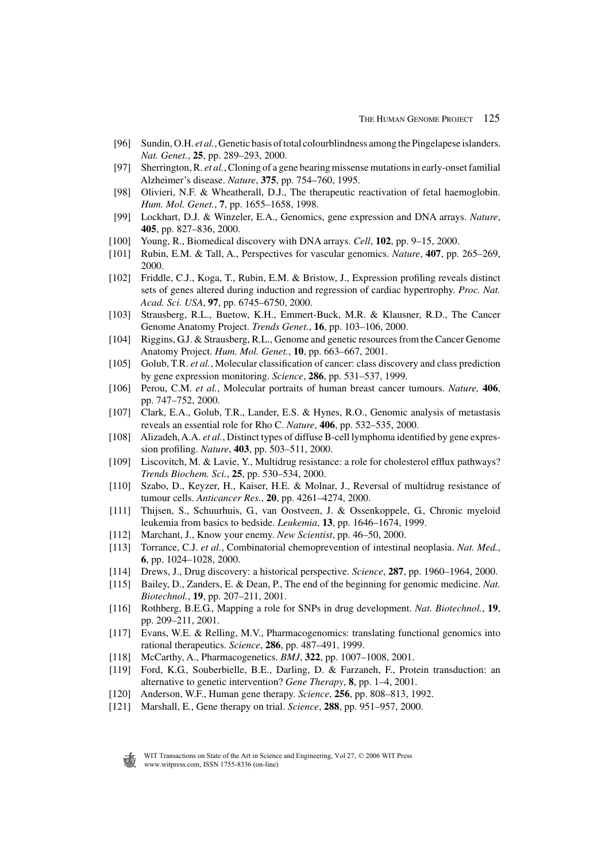- [96] Sundin, O.H. *et al.*, Genetic basis of total colourblindness among the Pingelapese islanders. *Nat. Genet.*, **25**, pp. 289–293, 2000.
- [97] Sherrington, R. *et al.*, Cloning of a gene bearing missense mutations in early-onset familial Alzheimer's disease. *Nature*, **375**, pp. 754–760, 1995.
- [98] Olivieri, N.F. & Wheatherall, D.J., The therapeutic reactivation of fetal haemoglobin. *Hum. Mol. Genet.*, **7**, pp. 1655–1658, 1998.
- [99] Lockhart, D.J. & Winzeler, E.A., Genomics, gene expression and DNA arrays. *Nature*, **405**, pp. 827–836, 2000.
- [100] Young, R., Biomedical discovery with DNA arrays. *Cell*, **102**, pp. 9–15, 2000.
- [101] Rubin, E.M. & Tall, A., Perspectives for vascular genomics. *Nature*, **407**, pp. 265–269, 2000.
- [102] Friddle, C.J., Koga, T., Rubin, E.M. & Bristow, J., Expression profiling reveals distinct sets of genes altered during induction and regression of cardiac hypertrophy. *Proc. Nat. Acad. Sci. USA*, **97**, pp. 6745–6750, 2000.
- [103] Strausberg, R.L., Buetow, K.H., Emmert-Buck, M.R. & Klausner, R.D., The Cancer Genome Anatomy Project. *Trends Genet.*, **16**, pp. 103–106, 2000.
- [104] Riggins, G.J. & Strausberg, R.L., Genome and genetic resources from the Cancer Genome Anatomy Project. *Hum. Mol. Genet.*, **10**, pp. 663–667, 2001.
- [105] Golub, T.R. *et al.*, Molecular classification of cancer: class discovery and class prediction by gene expression monitoring. *Science*, **286**, pp. 531–537, 1999.
- [106] Perou, C.M. *et al.*, Molecular portraits of human breast cancer tumours. *Nature,* **406**, pp. 747–752, 2000.
- [107] Clark, E.A., Golub, T.R., Lander, E.S. & Hynes, R.O., Genomic analysis of metastasis reveals an essential role for Rho C. *Nature*, **406**, pp. 532–535, 2000.
- [108] Alizadeh, A.A. *et al.*, Distinct types of diffuse B-cell lymphoma identified by gene expression profiling. *Nature*, **403**, pp. 503–511, 2000.
- [109] Liscovitch, M. & Lavie, Y., Multidrug resistance: a role for cholesterol efflux pathways? *Trends Biochem. Sci.*, **25**, pp. 530–534, 2000.
- [110] Szabo, D., Keyzer, H., Kaiser, H.E. & Molnar, J., Reversal of multidrug resistance of tumour cells. *Anticancer Res.*, **20**, pp. 4261–4274, 2000.
- [111] Thijsen, S., Schuurhuis, G., van Oostveen, J. & Ossenkoppele, G., Chronic myeloid leukemia from basics to bedside. *Leukemia*, **13**, pp. 1646–1674, 1999.
- [112] Marchant, J., Know your enemy. *New Scientist*, pp. 46–50, 2000.
- [113] Torrance, C.J. *et al.*, Combinatorial chemoprevention of intestinal neoplasia. *Nat. Med.*, **6**, pp. 1024–1028, 2000.
- [114] Drews, J., Drug discovery: a historical perspective. *Science*, **287**, pp. 1960–1964, 2000.
- [115] Bailey, D., Zanders, E. & Dean, P., The end of the beginning for genomic medicine. *Nat. Biotechnol.*, **19**, pp. 207–211, 2001.
- [116] Rothberg, B.E.G., Mapping a role for SNPs in drug development. *Nat. Biotechnol.*, **19**, pp. 209–211, 2001.
- [117] Evans, W.E. & Relling, M.V., Pharmacogenomics: translating functional genomics into rational therapeutics. *Science*, **286**, pp. 487–491, 1999.
- [118] McCarthy, A., Pharmacogenetics. *BMJ*, **322**, pp. 1007–1008, 2001.
- [119] Ford, K.G., Souberbielle, B.E., Darling, D. & Farzaneh, F., Protein transduction: an alternative to genetic intervention? *Gene Therapy*, **8**, pp. 1–4, 2001.
- [120] Anderson, W.F., Human gene therapy. *Science*, **256**, pp. 808–813, 1992.
- [121] Marshall, E., Gene therapy on trial. *Science*, **288**, pp. 951–957, 2000.